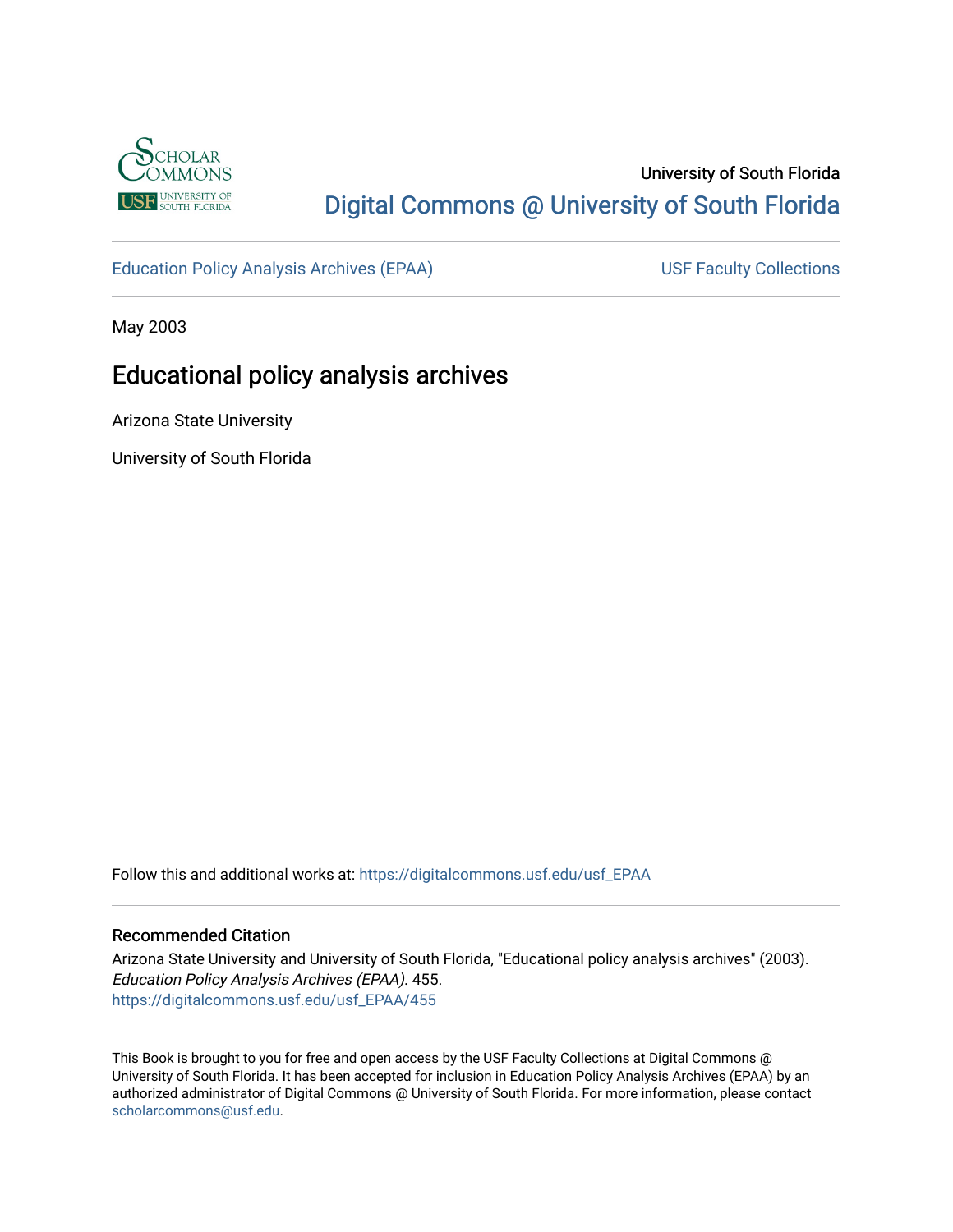

# University of South Florida [Digital Commons @ University of South Florida](https://digitalcommons.usf.edu/)

[Education Policy Analysis Archives \(EPAA\)](https://digitalcommons.usf.edu/usf_EPAA) USF Faculty Collections

May 2003

# Educational policy analysis archives

Arizona State University

University of South Florida

Follow this and additional works at: [https://digitalcommons.usf.edu/usf\\_EPAA](https://digitalcommons.usf.edu/usf_EPAA?utm_source=digitalcommons.usf.edu%2Fusf_EPAA%2F455&utm_medium=PDF&utm_campaign=PDFCoverPages)

#### Recommended Citation

Arizona State University and University of South Florida, "Educational policy analysis archives" (2003). Education Policy Analysis Archives (EPAA). 455. [https://digitalcommons.usf.edu/usf\\_EPAA/455](https://digitalcommons.usf.edu/usf_EPAA/455?utm_source=digitalcommons.usf.edu%2Fusf_EPAA%2F455&utm_medium=PDF&utm_campaign=PDFCoverPages)

This Book is brought to you for free and open access by the USF Faculty Collections at Digital Commons @ University of South Florida. It has been accepted for inclusion in Education Policy Analysis Archives (EPAA) by an authorized administrator of Digital Commons @ University of South Florida. For more information, please contact [scholarcommons@usf.edu.](mailto:scholarcommons@usf.edu)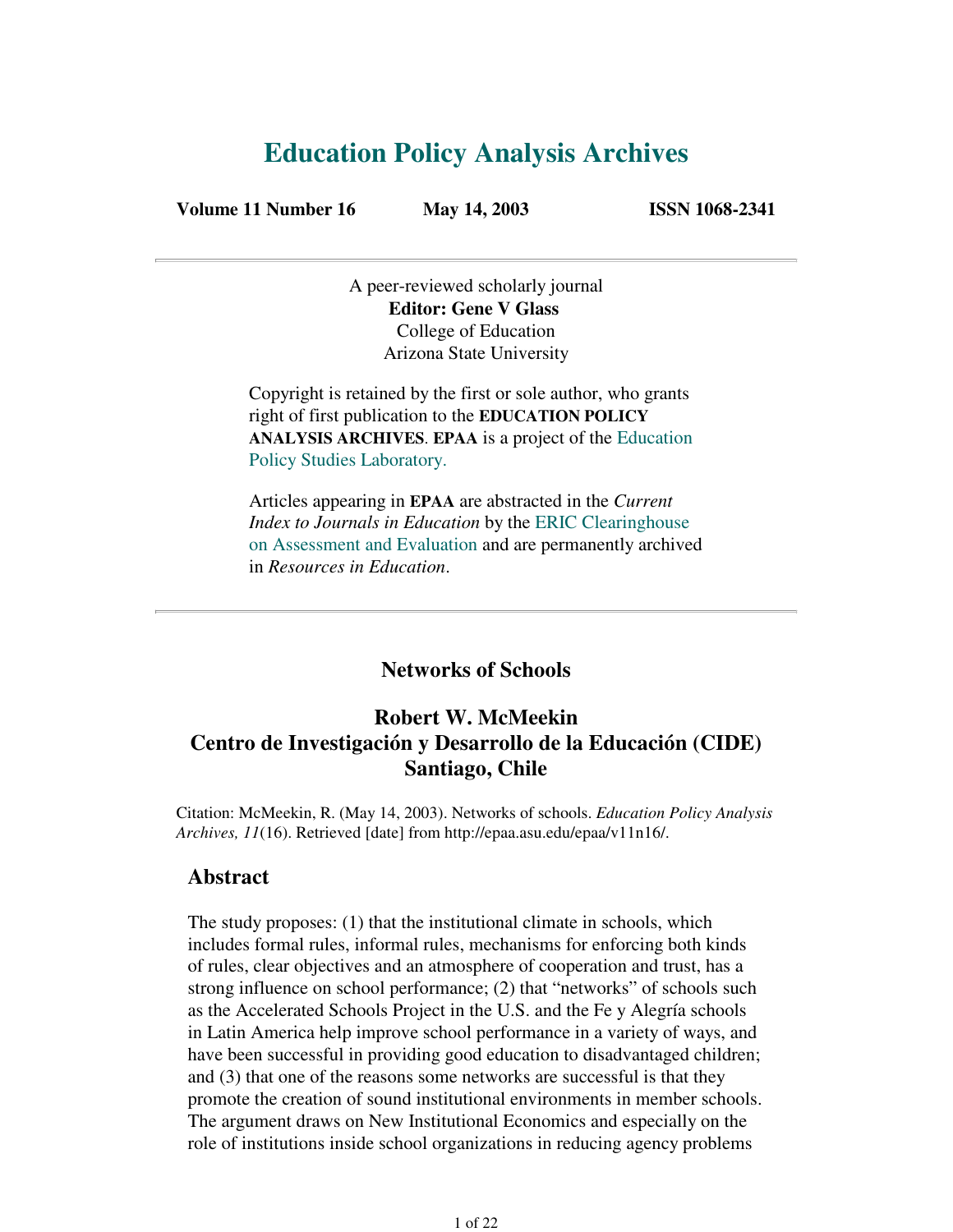# **Education Policy Analysis Archives**

**Volume 11 Number 16 May 14, 2003 ISSN 1068-2341**

A peer-reviewed scholarly journal **Editor: Gene V Glass** College of Education Arizona State University

Copyright is retained by the first or sole author, who grants right of first publication to the **EDUCATION POLICY ANALYSIS ARCHIVES**. **EPAA** is a project of the Education Policy Studies Laboratory.

Articles appearing in **EPAA** are abstracted in the *Current Index to Journals in Education* by the ERIC Clearinghouse on Assessment and Evaluation and are permanently archived in *Resources in Education*.

**Networks of Schools**

# **Robert W. McMeekin Centro de Investigación y Desarrollo de la Educación (CIDE) Santiago, Chile**

Citation: McMeekin, R. (May 14, 2003). Networks of schools. *Education Policy Analysis Archives, 11*(16). Retrieved [date] from http://epaa.asu.edu/epaa/v11n16/.

#### **Abstract**

The study proposes: (1) that the institutional climate in schools, which includes formal rules, informal rules, mechanisms for enforcing both kinds of rules, clear objectives and an atmosphere of cooperation and trust, has a strong influence on school performance; (2) that "networks" of schools such as the Accelerated Schools Project in the U.S. and the Fe y Alegría schools in Latin America help improve school performance in a variety of ways, and have been successful in providing good education to disadvantaged children; and (3) that one of the reasons some networks are successful is that they promote the creation of sound institutional environments in member schools. The argument draws on New Institutional Economics and especially on the role of institutions inside school organizations in reducing agency problems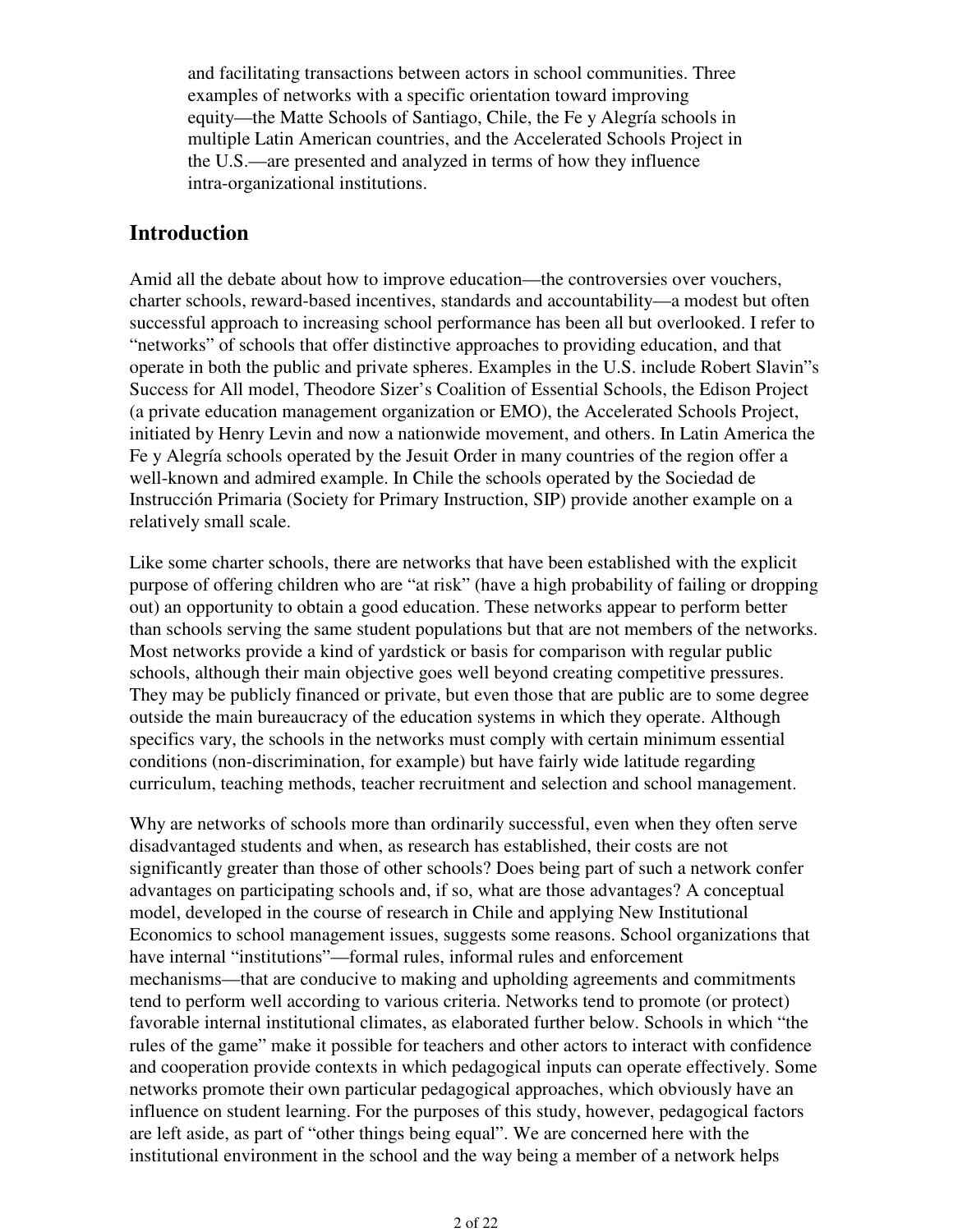and facilitating transactions between actors in school communities. Three examples of networks with a specific orientation toward improving equity—the Matte Schools of Santiago, Chile, the Fe y Alegría schools in multiple Latin American countries, and the Accelerated Schools Project in the U.S.—are presented and analyzed in terms of how they influence intra-organizational institutions.

## **Introduction**

Amid all the debate about how to improve education—the controversies over vouchers, charter schools, reward-based incentives, standards and accountability—a modest but often successful approach to increasing school performance has been all but overlooked. I refer to "networks" of schools that offer distinctive approaches to providing education, and that operate in both the public and private spheres. Examples in the U.S. include Robert Slavin"s Success for All model, Theodore Sizer's Coalition of Essential Schools, the Edison Project (a private education management organization or EMO), the Accelerated Schools Project, initiated by Henry Levin and now a nationwide movement, and others. In Latin America the Fe y Alegría schools operated by the Jesuit Order in many countries of the region offer a well-known and admired example. In Chile the schools operated by the Sociedad de Instrucción Primaria (Society for Primary Instruction, SIP) provide another example on a relatively small scale.

Like some charter schools, there are networks that have been established with the explicit purpose of offering children who are "at risk" (have a high probability of failing or dropping out) an opportunity to obtain a good education. These networks appear to perform better than schools serving the same student populations but that are not members of the networks. Most networks provide a kind of yardstick or basis for comparison with regular public schools, although their main objective goes well beyond creating competitive pressures. They may be publicly financed or private, but even those that are public are to some degree outside the main bureaucracy of the education systems in which they operate. Although specifics vary, the schools in the networks must comply with certain minimum essential conditions (non-discrimination, for example) but have fairly wide latitude regarding curriculum, teaching methods, teacher recruitment and selection and school management.

Why are networks of schools more than ordinarily successful, even when they often serve disadvantaged students and when, as research has established, their costs are not significantly greater than those of other schools? Does being part of such a network confer advantages on participating schools and, if so, what are those advantages? A conceptual model, developed in the course of research in Chile and applying New Institutional Economics to school management issues, suggests some reasons. School organizations that have internal "institutions"—formal rules, informal rules and enforcement mechanisms—that are conducive to making and upholding agreements and commitments tend to perform well according to various criteria. Networks tend to promote (or protect) favorable internal institutional climates, as elaborated further below. Schools in which "the rules of the game" make it possible for teachers and other actors to interact with confidence and cooperation provide contexts in which pedagogical inputs can operate effectively. Some networks promote their own particular pedagogical approaches, which obviously have an influence on student learning. For the purposes of this study, however, pedagogical factors are left aside, as part of "other things being equal". We are concerned here with the institutional environment in the school and the way being a member of a network helps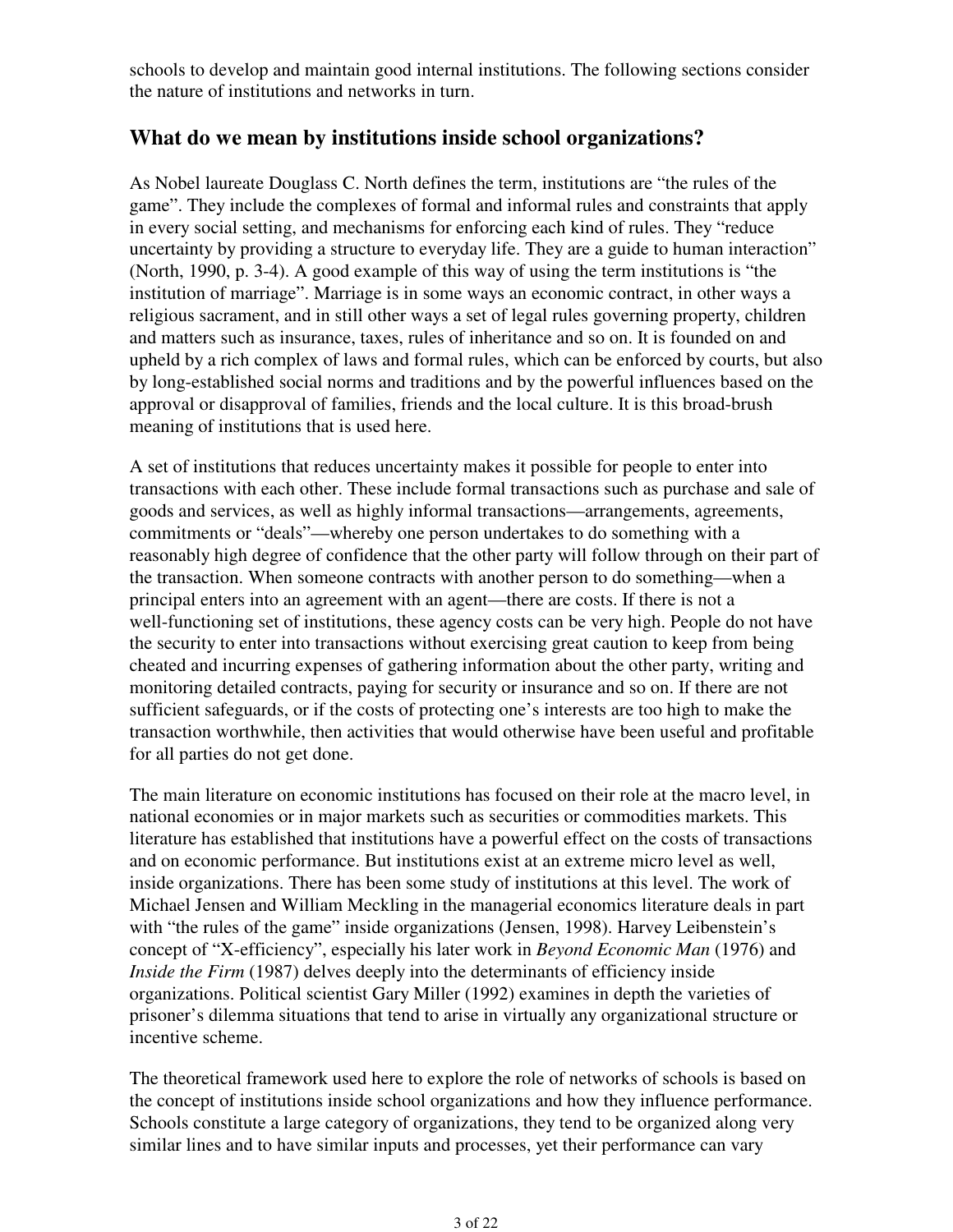schools to develop and maintain good internal institutions. The following sections consider the nature of institutions and networks in turn.

## **What do we mean by institutions inside school organizations?**

As Nobel laureate Douglass C. North defines the term, institutions are "the rules of the game". They include the complexes of formal and informal rules and constraints that apply in every social setting, and mechanisms for enforcing each kind of rules. They "reduce uncertainty by providing a structure to everyday life. They are a guide to human interaction" (North, 1990, p. 3-4). A good example of this way of using the term institutions is "the institution of marriage". Marriage is in some ways an economic contract, in other ways a religious sacrament, and in still other ways a set of legal rules governing property, children and matters such as insurance, taxes, rules of inheritance and so on. It is founded on and upheld by a rich complex of laws and formal rules, which can be enforced by courts, but also by long-established social norms and traditions and by the powerful influences based on the approval or disapproval of families, friends and the local culture. It is this broad-brush meaning of institutions that is used here.

A set of institutions that reduces uncertainty makes it possible for people to enter into transactions with each other. These include formal transactions such as purchase and sale of goods and services, as well as highly informal transactions—arrangements, agreements, commitments or "deals"—whereby one person undertakes to do something with a reasonably high degree of confidence that the other party will follow through on their part of the transaction. When someone contracts with another person to do something—when a principal enters into an agreement with an agent—there are costs. If there is not a well-functioning set of institutions, these agency costs can be very high. People do not have the security to enter into transactions without exercising great caution to keep from being cheated and incurring expenses of gathering information about the other party, writing and monitoring detailed contracts, paying for security or insurance and so on. If there are not sufficient safeguards, or if the costs of protecting one's interests are too high to make the transaction worthwhile, then activities that would otherwise have been useful and profitable for all parties do not get done.

The main literature on economic institutions has focused on their role at the macro level, in national economies or in major markets such as securities or commodities markets. This literature has established that institutions have a powerful effect on the costs of transactions and on economic performance. But institutions exist at an extreme micro level as well, inside organizations. There has been some study of institutions at this level. The work of Michael Jensen and William Meckling in the managerial economics literature deals in part with "the rules of the game" inside organizations (Jensen, 1998). Harvey Leibenstein's concept of "X-efficiency", especially his later work in *Beyond Economic Man* (1976) and *Inside the Firm* (1987) delves deeply into the determinants of efficiency inside organizations. Political scientist Gary Miller (1992) examines in depth the varieties of prisoner's dilemma situations that tend to arise in virtually any organizational structure or incentive scheme.

The theoretical framework used here to explore the role of networks of schools is based on the concept of institutions inside school organizations and how they influence performance. Schools constitute a large category of organizations, they tend to be organized along very similar lines and to have similar inputs and processes, yet their performance can vary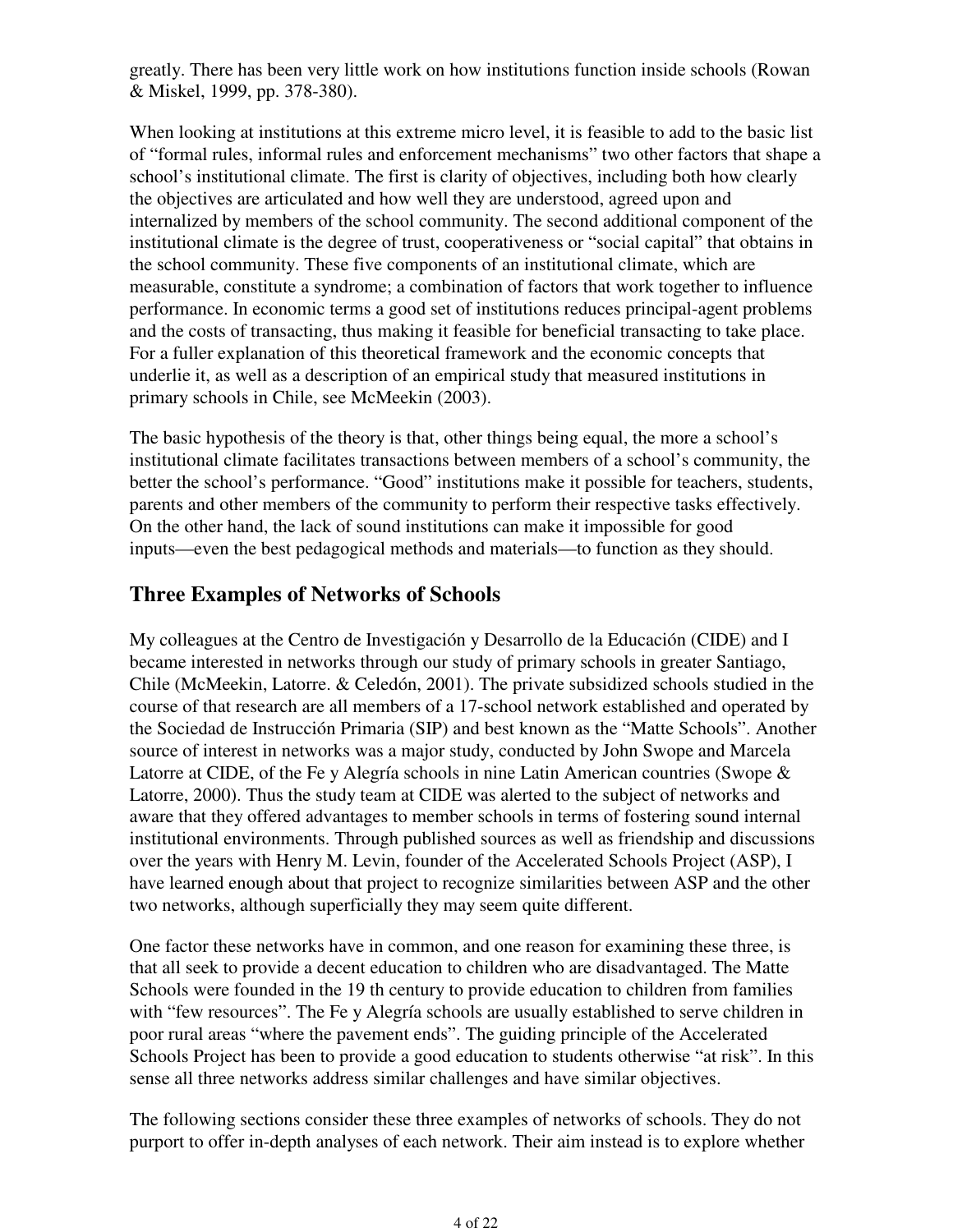greatly. There has been very little work on how institutions function inside schools (Rowan & Miskel, 1999, pp. 378-380).

When looking at institutions at this extreme micro level, it is feasible to add to the basic list of "formal rules, informal rules and enforcement mechanisms" two other factors that shape a school's institutional climate. The first is clarity of objectives, including both how clearly the objectives are articulated and how well they are understood, agreed upon and internalized by members of the school community. The second additional component of the institutional climate is the degree of trust, cooperativeness or "social capital" that obtains in the school community. These five components of an institutional climate, which are measurable, constitute a syndrome; a combination of factors that work together to influence performance. In economic terms a good set of institutions reduces principal-agent problems and the costs of transacting, thus making it feasible for beneficial transacting to take place. For a fuller explanation of this theoretical framework and the economic concepts that underlie it, as well as a description of an empirical study that measured institutions in primary schools in Chile, see McMeekin (2003).

The basic hypothesis of the theory is that, other things being equal, the more a school's institutional climate facilitates transactions between members of a school's community, the better the school's performance. "Good" institutions make it possible for teachers, students, parents and other members of the community to perform their respective tasks effectively. On the other hand, the lack of sound institutions can make it impossible for good inputs—even the best pedagogical methods and materials—to function as they should.

# **Three Examples of Networks of Schools**

My colleagues at the Centro de Investigación y Desarrollo de la Educación (CIDE) and I became interested in networks through our study of primary schools in greater Santiago, Chile (McMeekin, Latorre. & Celedón, 2001). The private subsidized schools studied in the course of that research are all members of a 17-school network established and operated by the Sociedad de Instrucción Primaria (SIP) and best known as the "Matte Schools". Another source of interest in networks was a major study, conducted by John Swope and Marcela Latorre at CIDE, of the Fe y Alegría schools in nine Latin American countries (Swope & Latorre, 2000). Thus the study team at CIDE was alerted to the subject of networks and aware that they offered advantages to member schools in terms of fostering sound internal institutional environments. Through published sources as well as friendship and discussions over the years with Henry M. Levin, founder of the Accelerated Schools Project (ASP), I have learned enough about that project to recognize similarities between ASP and the other two networks, although superficially they may seem quite different.

One factor these networks have in common, and one reason for examining these three, is that all seek to provide a decent education to children who are disadvantaged. The Matte Schools were founded in the 19 th century to provide education to children from families with "few resources". The Fe y Alegría schools are usually established to serve children in poor rural areas "where the pavement ends". The guiding principle of the Accelerated Schools Project has been to provide a good education to students otherwise "at risk". In this sense all three networks address similar challenges and have similar objectives.

The following sections consider these three examples of networks of schools. They do not purport to offer in-depth analyses of each network. Their aim instead is to explore whether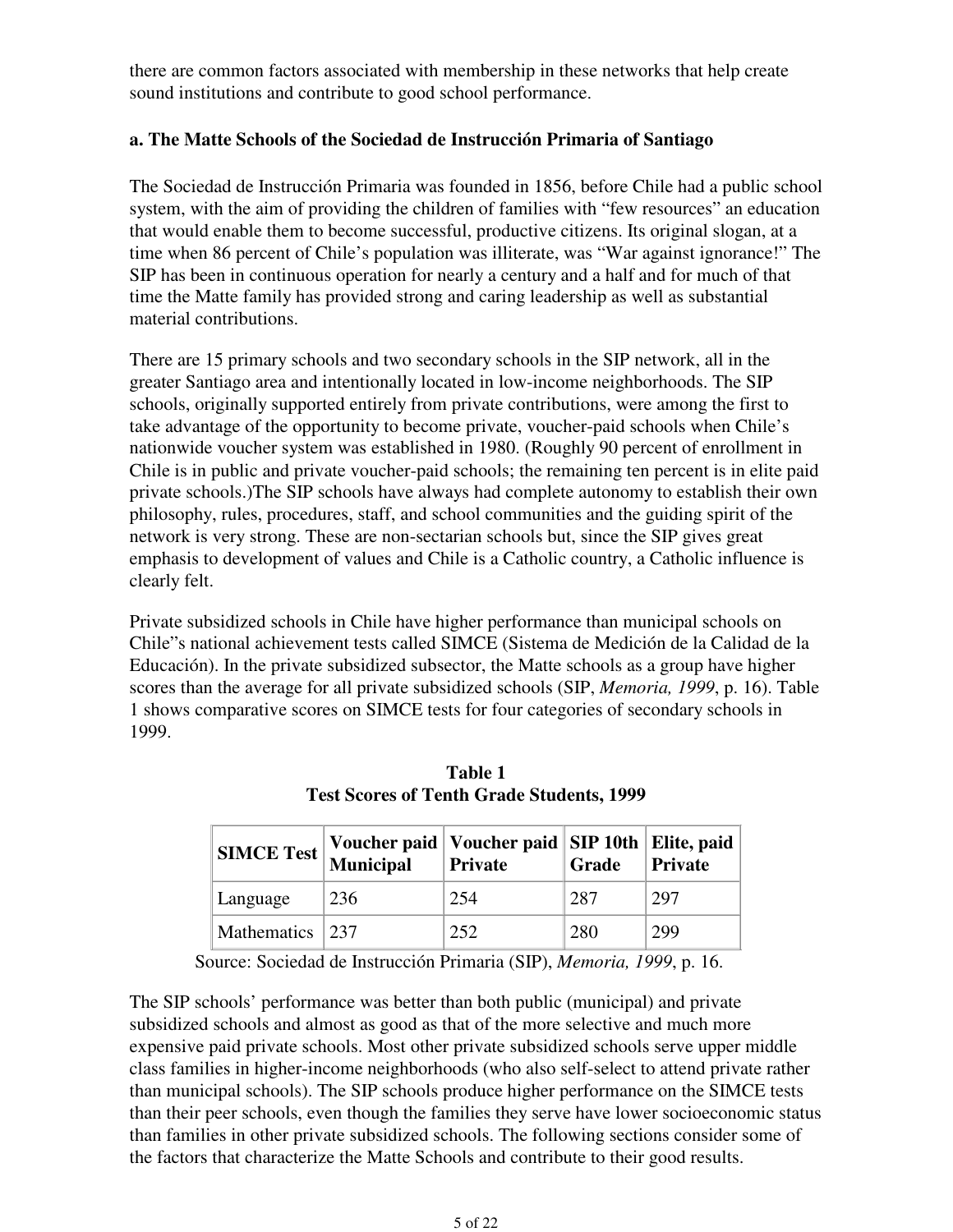there are common factors associated with membership in these networks that help create sound institutions and contribute to good school performance.

### **a. The Matte Schools of the Sociedad de Instrucción Primaria of Santiago**

The Sociedad de Instrucción Primaria was founded in 1856, before Chile had a public school system, with the aim of providing the children of families with "few resources" an education that would enable them to become successful, productive citizens. Its original slogan, at a time when 86 percent of Chile's population was illiterate, was "War against ignorance!" The SIP has been in continuous operation for nearly a century and a half and for much of that time the Matte family has provided strong and caring leadership as well as substantial material contributions.

There are 15 primary schools and two secondary schools in the SIP network, all in the greater Santiago area and intentionally located in low-income neighborhoods. The SIP schools, originally supported entirely from private contributions, were among the first to take advantage of the opportunity to become private, voucher-paid schools when Chile's nationwide voucher system was established in 1980. (Roughly 90 percent of enrollment in Chile is in public and private voucher-paid schools; the remaining ten percent is in elite paid private schools.)The SIP schools have always had complete autonomy to establish their own philosophy, rules, procedures, staff, and school communities and the guiding spirit of the network is very strong. These are non-sectarian schools but, since the SIP gives great emphasis to development of values and Chile is a Catholic country, a Catholic influence is clearly felt.

Private subsidized schools in Chile have higher performance than municipal schools on Chile"s national achievement tests called SIMCE (Sistema de Medición de la Calidad de la Educación). In the private subsidized subsector, the Matte schools as a group have higher scores than the average for all private subsidized schools (SIP, *Memoria, 1999*, p. 16). Table 1 shows comparative scores on SIMCE tests for four categories of secondary schools in 1999.

|                 | SIMCE Test Voucher paid Voucher paid SIP 10th Elite, paid |     |     |     |
|-----------------|-----------------------------------------------------------|-----|-----|-----|
| Language        | 236                                                       | 254 | 287 | 297 |
| Mathematics 237 |                                                           | 252 | 280 | 299 |

**Table 1 Test Scores of Tenth Grade Students, 1999**

Source: Sociedad de Instrucción Primaria (SIP), *Memoria, 1999*, p. 16.

The SIP schools' performance was better than both public (municipal) and private subsidized schools and almost as good as that of the more selective and much more expensive paid private schools. Most other private subsidized schools serve upper middle class families in higher-income neighborhoods (who also self-select to attend private rather than municipal schools). The SIP schools produce higher performance on the SIMCE tests than their peer schools, even though the families they serve have lower socioeconomic status than families in other private subsidized schools. The following sections consider some of the factors that characterize the Matte Schools and contribute to their good results.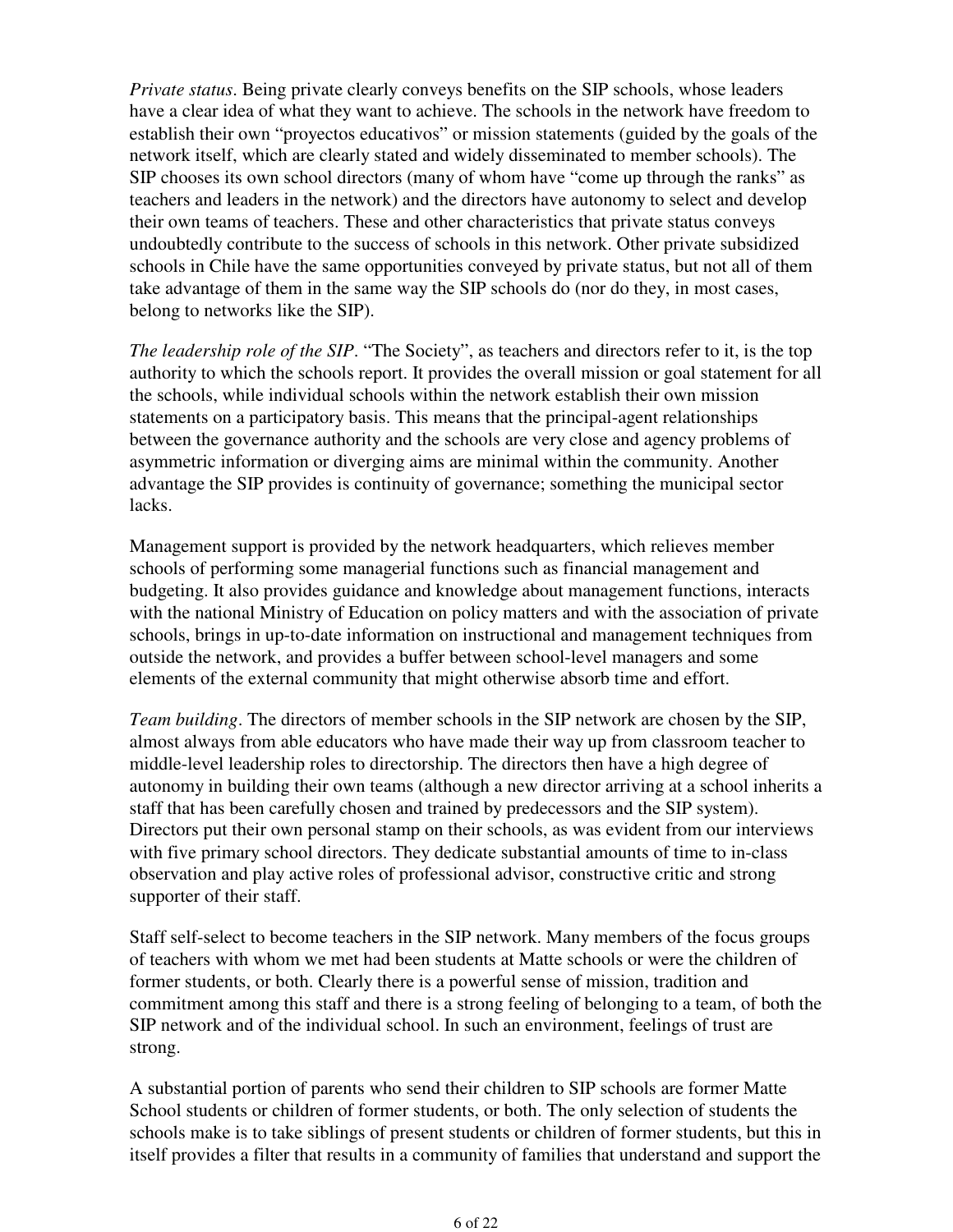*Private status*. Being private clearly conveys benefits on the SIP schools, whose leaders have a clear idea of what they want to achieve. The schools in the network have freedom to establish their own "proyectos educativos" or mission statements (guided by the goals of the network itself, which are clearly stated and widely disseminated to member schools). The SIP chooses its own school directors (many of whom have "come up through the ranks" as teachers and leaders in the network) and the directors have autonomy to select and develop their own teams of teachers. These and other characteristics that private status conveys undoubtedly contribute to the success of schools in this network. Other private subsidized schools in Chile have the same opportunities conveyed by private status, but not all of them take advantage of them in the same way the SIP schools do (nor do they, in most cases, belong to networks like the SIP).

*The leadership role of the SIP*. "The Society", as teachers and directors refer to it, is the top authority to which the schools report. It provides the overall mission or goal statement for all the schools, while individual schools within the network establish their own mission statements on a participatory basis. This means that the principal-agent relationships between the governance authority and the schools are very close and agency problems of asymmetric information or diverging aims are minimal within the community. Another advantage the SIP provides is continuity of governance; something the municipal sector lacks.

Management support is provided by the network headquarters, which relieves member schools of performing some managerial functions such as financial management and budgeting. It also provides guidance and knowledge about management functions, interacts with the national Ministry of Education on policy matters and with the association of private schools, brings in up-to-date information on instructional and management techniques from outside the network, and provides a buffer between school-level managers and some elements of the external community that might otherwise absorb time and effort.

*Team building*. The directors of member schools in the SIP network are chosen by the SIP, almost always from able educators who have made their way up from classroom teacher to middle-level leadership roles to directorship. The directors then have a high degree of autonomy in building their own teams (although a new director arriving at a school inherits a staff that has been carefully chosen and trained by predecessors and the SIP system). Directors put their own personal stamp on their schools, as was evident from our interviews with five primary school directors. They dedicate substantial amounts of time to in-class observation and play active roles of professional advisor, constructive critic and strong supporter of their staff.

Staff self-select to become teachers in the SIP network. Many members of the focus groups of teachers with whom we met had been students at Matte schools or were the children of former students, or both. Clearly there is a powerful sense of mission, tradition and commitment among this staff and there is a strong feeling of belonging to a team, of both the SIP network and of the individual school. In such an environment, feelings of trust are strong.

A substantial portion of parents who send their children to SIP schools are former Matte School students or children of former students, or both. The only selection of students the schools make is to take siblings of present students or children of former students, but this in itself provides a filter that results in a community of families that understand and support the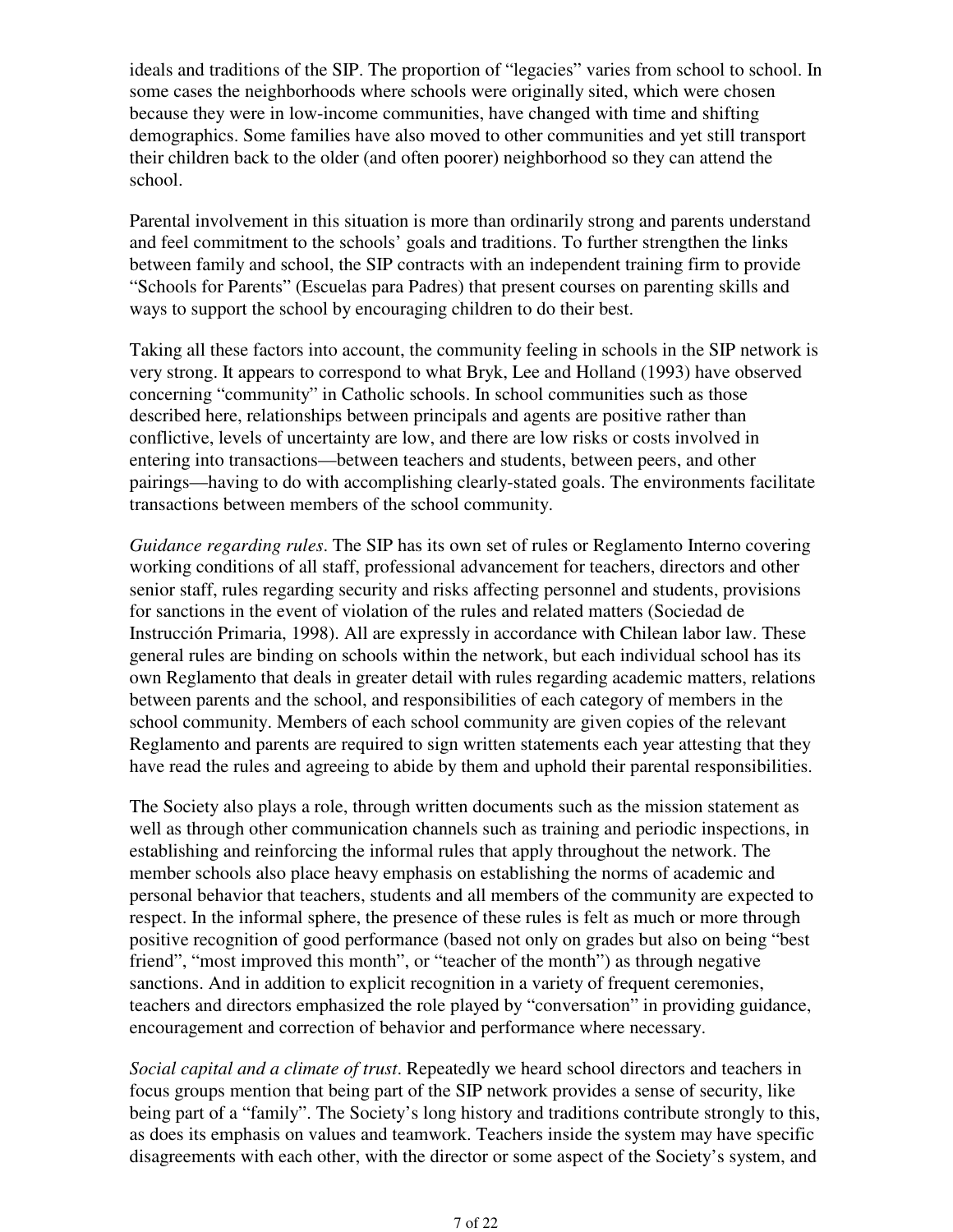ideals and traditions of the SIP. The proportion of "legacies" varies from school to school. In some cases the neighborhoods where schools were originally sited, which were chosen because they were in low-income communities, have changed with time and shifting demographics. Some families have also moved to other communities and yet still transport their children back to the older (and often poorer) neighborhood so they can attend the school.

Parental involvement in this situation is more than ordinarily strong and parents understand and feel commitment to the schools' goals and traditions. To further strengthen the links between family and school, the SIP contracts with an independent training firm to provide "Schools for Parents" (Escuelas para Padres) that present courses on parenting skills and ways to support the school by encouraging children to do their best.

Taking all these factors into account, the community feeling in schools in the SIP network is very strong. It appears to correspond to what Bryk, Lee and Holland (1993) have observed concerning "community" in Catholic schools. In school communities such as those described here, relationships between principals and agents are positive rather than conflictive, levels of uncertainty are low, and there are low risks or costs involved in entering into transactions—between teachers and students, between peers, and other pairings—having to do with accomplishing clearly-stated goals. The environments facilitate transactions between members of the school community.

*Guidance regarding rules*. The SIP has its own set of rules or Reglamento Interno covering working conditions of all staff, professional advancement for teachers, directors and other senior staff, rules regarding security and risks affecting personnel and students, provisions for sanctions in the event of violation of the rules and related matters (Sociedad de Instrucción Primaria, 1998). All are expressly in accordance with Chilean labor law. These general rules are binding on schools within the network, but each individual school has its own Reglamento that deals in greater detail with rules regarding academic matters, relations between parents and the school, and responsibilities of each category of members in the school community. Members of each school community are given copies of the relevant Reglamento and parents are required to sign written statements each year attesting that they have read the rules and agreeing to abide by them and uphold their parental responsibilities.

The Society also plays a role, through written documents such as the mission statement as well as through other communication channels such as training and periodic inspections, in establishing and reinforcing the informal rules that apply throughout the network. The member schools also place heavy emphasis on establishing the norms of academic and personal behavior that teachers, students and all members of the community are expected to respect. In the informal sphere, the presence of these rules is felt as much or more through positive recognition of good performance (based not only on grades but also on being "best friend", "most improved this month", or "teacher of the month") as through negative sanctions. And in addition to explicit recognition in a variety of frequent ceremonies, teachers and directors emphasized the role played by "conversation" in providing guidance, encouragement and correction of behavior and performance where necessary.

*Social capital and a climate of trust*. Repeatedly we heard school directors and teachers in focus groups mention that being part of the SIP network provides a sense of security, like being part of a "family". The Society's long history and traditions contribute strongly to this, as does its emphasis on values and teamwork. Teachers inside the system may have specific disagreements with each other, with the director or some aspect of the Society's system, and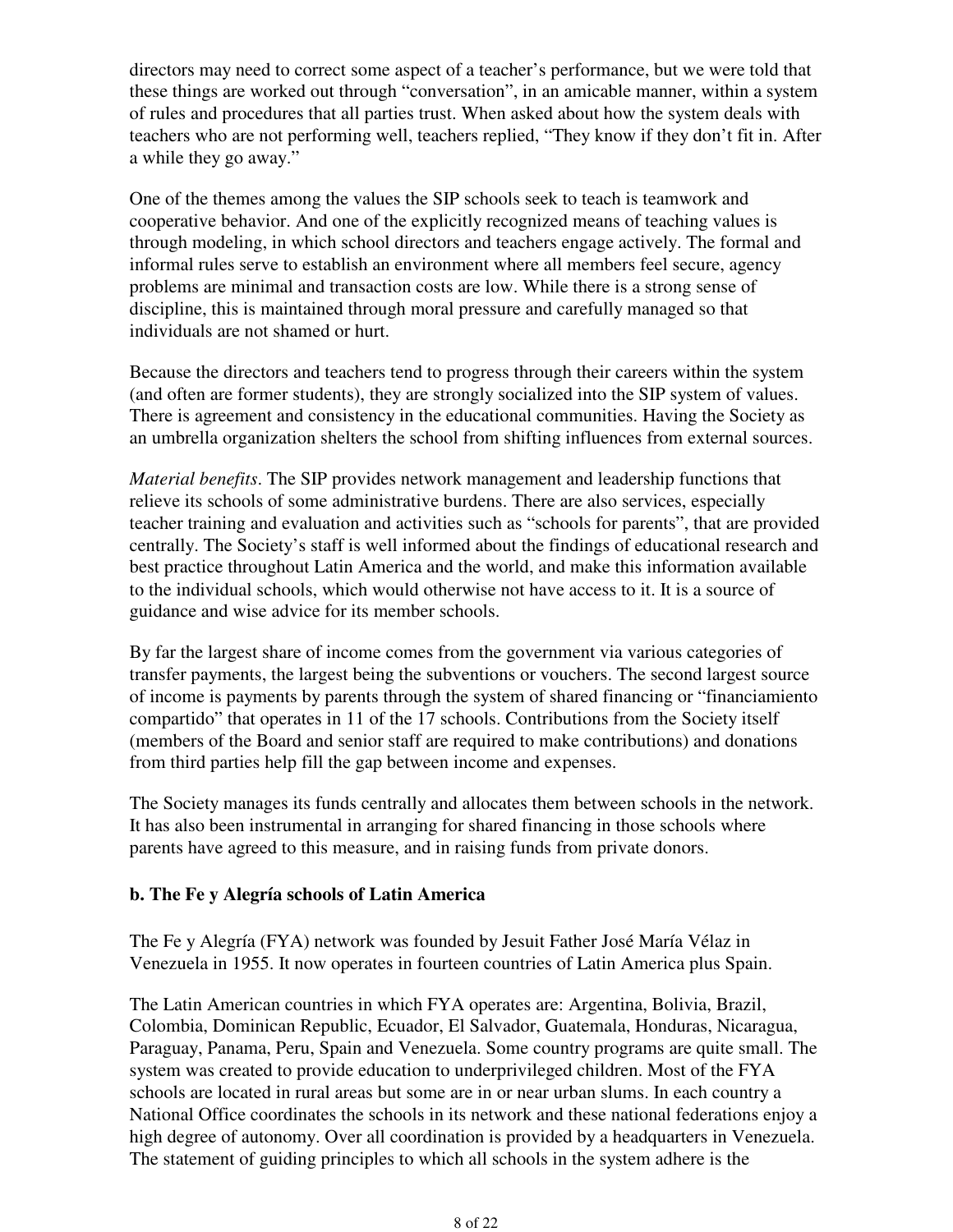directors may need to correct some aspect of a teacher's performance, but we were told that these things are worked out through "conversation", in an amicable manner, within a system of rules and procedures that all parties trust. When asked about how the system deals with teachers who are not performing well, teachers replied, "They know if they don't fit in. After a while they go away."

One of the themes among the values the SIP schools seek to teach is teamwork and cooperative behavior. And one of the explicitly recognized means of teaching values is through modeling, in which school directors and teachers engage actively. The formal and informal rules serve to establish an environment where all members feel secure, agency problems are minimal and transaction costs are low. While there is a strong sense of discipline, this is maintained through moral pressure and carefully managed so that individuals are not shamed or hurt.

Because the directors and teachers tend to progress through their careers within the system (and often are former students), they are strongly socialized into the SIP system of values. There is agreement and consistency in the educational communities. Having the Society as an umbrella organization shelters the school from shifting influences from external sources.

*Material benefits*. The SIP provides network management and leadership functions that relieve its schools of some administrative burdens. There are also services, especially teacher training and evaluation and activities such as "schools for parents", that are provided centrally. The Society's staff is well informed about the findings of educational research and best practice throughout Latin America and the world, and make this information available to the individual schools, which would otherwise not have access to it. It is a source of guidance and wise advice for its member schools.

By far the largest share of income comes from the government via various categories of transfer payments, the largest being the subventions or vouchers. The second largest source of income is payments by parents through the system of shared financing or "financiamiento compartido" that operates in 11 of the 17 schools. Contributions from the Society itself (members of the Board and senior staff are required to make contributions) and donations from third parties help fill the gap between income and expenses.

The Society manages its funds centrally and allocates them between schools in the network. It has also been instrumental in arranging for shared financing in those schools where parents have agreed to this measure, and in raising funds from private donors.

### **b. The Fe y Alegría schools of Latin America**

The Fe y Alegría (FYA) network was founded by Jesuit Father José María Vélaz in Venezuela in 1955. It now operates in fourteen countries of Latin America plus Spain.

The Latin American countries in which FYA operates are: Argentina, Bolivia, Brazil, Colombia, Dominican Republic, Ecuador, El Salvador, Guatemala, Honduras, Nicaragua, Paraguay, Panama, Peru, Spain and Venezuela. Some country programs are quite small. The system was created to provide education to underprivileged children. Most of the FYA schools are located in rural areas but some are in or near urban slums. In each country a National Office coordinates the schools in its network and these national federations enjoy a high degree of autonomy. Over all coordination is provided by a headquarters in Venezuela. The statement of guiding principles to which all schools in the system adhere is the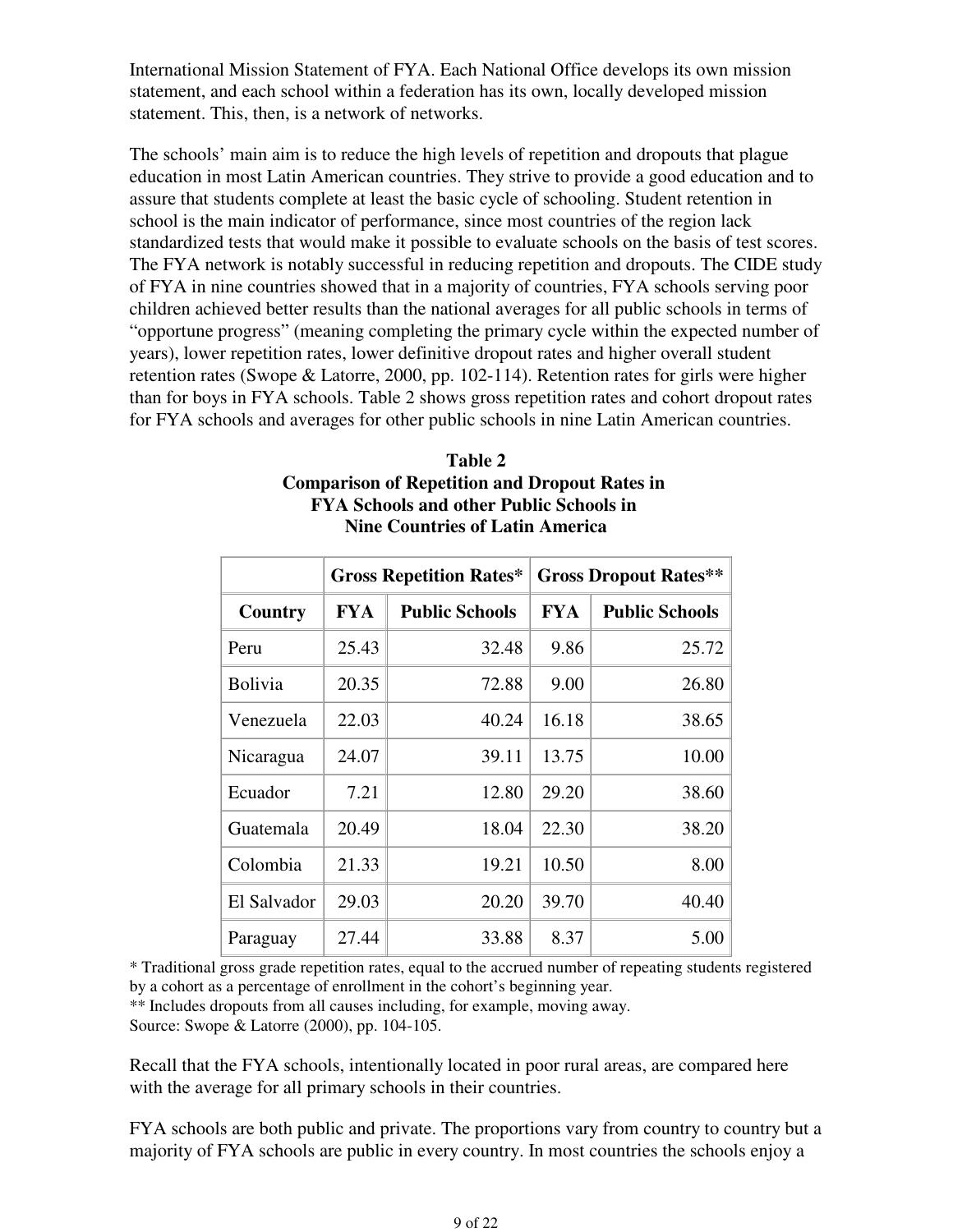International Mission Statement of FYA. Each National Office develops its own mission statement, and each school within a federation has its own, locally developed mission statement. This, then, is a network of networks.

The schools' main aim is to reduce the high levels of repetition and dropouts that plague education in most Latin American countries. They strive to provide a good education and to assure that students complete at least the basic cycle of schooling. Student retention in school is the main indicator of performance, since most countries of the region lack standardized tests that would make it possible to evaluate schools on the basis of test scores. The FYA network is notably successful in reducing repetition and dropouts. The CIDE study of FYA in nine countries showed that in a majority of countries, FYA schools serving poor children achieved better results than the national averages for all public schools in terms of "opportune progress" (meaning completing the primary cycle within the expected number of years), lower repetition rates, lower definitive dropout rates and higher overall student retention rates (Swope & Latorre, 2000, pp. 102-114). Retention rates for girls were higher than for boys in FYA schools. Table 2 shows gross repetition rates and cohort dropout rates for FYA schools and averages for other public schools in nine Latin American countries.

|        | Comparison of Repetition and Dropout Rates in<br><b>FYA Schools and other Public Schools in</b><br><b>Nine Countries of Latin America</b> |                                                      |  |                           |  |  |
|--------|-------------------------------------------------------------------------------------------------------------------------------------------|------------------------------------------------------|--|---------------------------|--|--|
|        |                                                                                                                                           | <b>Gross Repetition Rates*</b> Gross Dropout Rates** |  |                           |  |  |
| ountry | FYA                                                                                                                                       | <b>Public Schools</b>                                |  | <b>FYA</b> Public Schools |  |  |
|        |                                                                                                                                           |                                                      |  |                           |  |  |

| Table 2                                              |
|------------------------------------------------------|
| <b>Comparison of Repetition and Dropout Rates in</b> |
| <b>FYA Schools and other Public Schools in</b>       |
| <b>Nine Countries of Latin America</b>               |

|                | <b>VIUSS INCLICITUUII INALES</b> |                       | <b>OTOSS DI OPOUL NAILS</b> |                       |
|----------------|----------------------------------|-----------------------|-----------------------------|-----------------------|
| Country        | <b>FYA</b>                       | <b>Public Schools</b> | <b>FYA</b>                  | <b>Public Schools</b> |
| Peru           | 25.43                            | 32.48                 | 9.86                        | 25.72                 |
| <b>Bolivia</b> | 20.35                            | 72.88                 | 9.00                        | 26.80                 |
| Venezuela      | 22.03                            | 40.24                 | 16.18                       | 38.65                 |
| Nicaragua      | 24.07                            | 39.11                 | 13.75                       | 10.00                 |
| Ecuador        | 7.21                             | 12.80                 | 29.20                       | 38.60                 |
| Guatemala      | 20.49                            | 18.04                 | 22.30                       | 38.20                 |
| Colombia       | 21.33                            | 19.21                 | 10.50                       | 8.00                  |
| El Salvador    | 29.03                            | 20.20                 | 39.70                       | 40.40                 |
| Paraguay       | 27.44                            | 33.88                 | 8.37                        | 5.00                  |

\* Traditional gross grade repetition rates, equal to the accrued number of repeating students registered by a cohort as a percentage of enrollment in the cohort's beginning year.

\*\* Includes dropouts from all causes including, for example, moving away. Source: Swope & Latorre (2000), pp. 104-105.

Recall that the FYA schools, intentionally located in poor rural areas, are compared here with the average for all primary schools in their countries.

FYA schools are both public and private. The proportions vary from country to country but a majority of FYA schools are public in every country. In most countries the schools enjoy a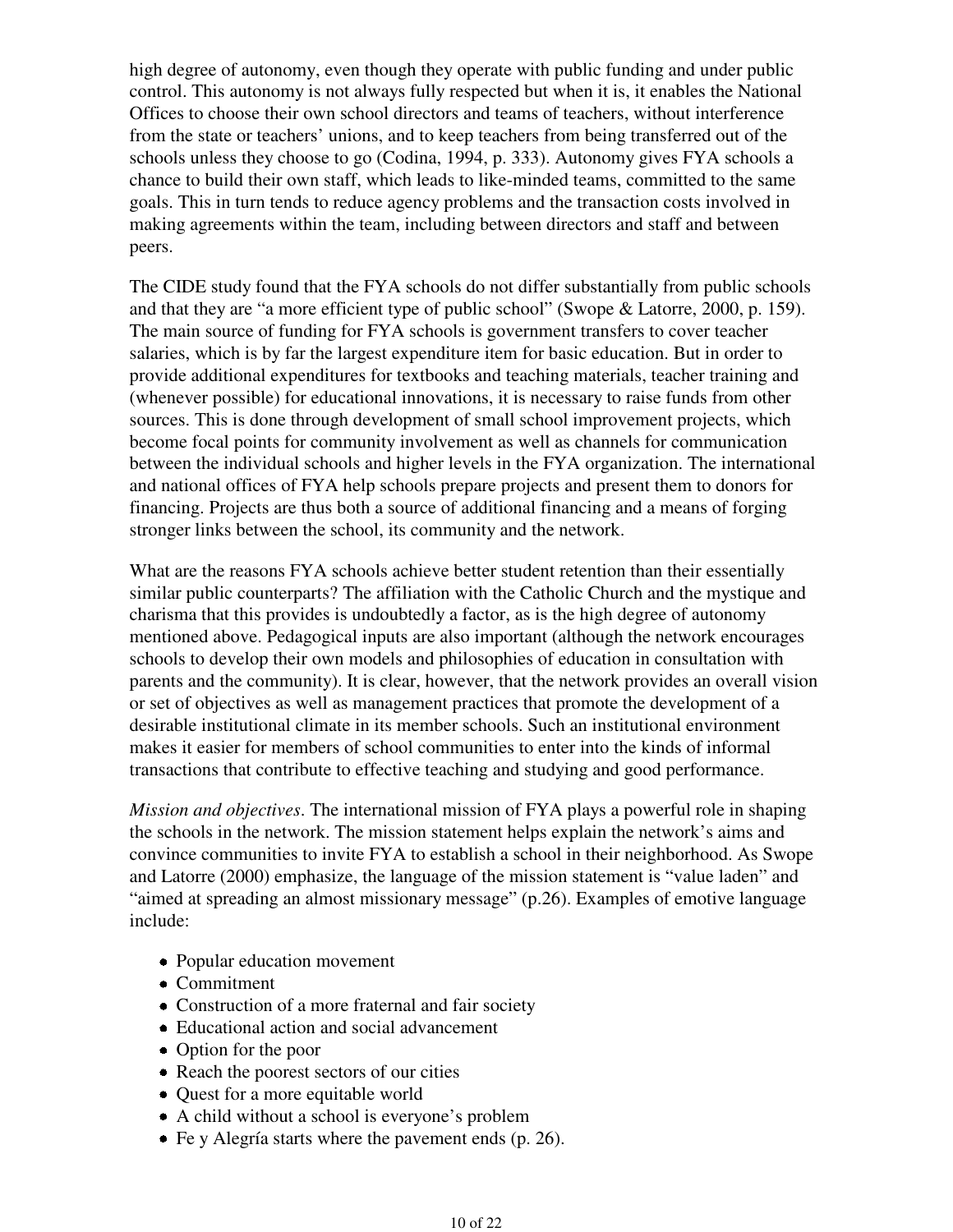high degree of autonomy, even though they operate with public funding and under public control. This autonomy is not always fully respected but when it is, it enables the National Offices to choose their own school directors and teams of teachers, without interference from the state or teachers' unions, and to keep teachers from being transferred out of the schools unless they choose to go (Codina, 1994, p. 333). Autonomy gives FYA schools a chance to build their own staff, which leads to like-minded teams, committed to the same goals. This in turn tends to reduce agency problems and the transaction costs involved in making agreements within the team, including between directors and staff and between peers.

The CIDE study found that the FYA schools do not differ substantially from public schools and that they are "a more efficient type of public school" (Swope & Latorre, 2000, p. 159). The main source of funding for FYA schools is government transfers to cover teacher salaries, which is by far the largest expenditure item for basic education. But in order to provide additional expenditures for textbooks and teaching materials, teacher training and (whenever possible) for educational innovations, it is necessary to raise funds from other sources. This is done through development of small school improvement projects, which become focal points for community involvement as well as channels for communication between the individual schools and higher levels in the FYA organization. The international and national offices of FYA help schools prepare projects and present them to donors for financing. Projects are thus both a source of additional financing and a means of forging stronger links between the school, its community and the network.

What are the reasons FYA schools achieve better student retention than their essentially similar public counterparts? The affiliation with the Catholic Church and the mystique and charisma that this provides is undoubtedly a factor, as is the high degree of autonomy mentioned above. Pedagogical inputs are also important (although the network encourages schools to develop their own models and philosophies of education in consultation with parents and the community). It is clear, however, that the network provides an overall vision or set of objectives as well as management practices that promote the development of a desirable institutional climate in its member schools. Such an institutional environment makes it easier for members of school communities to enter into the kinds of informal transactions that contribute to effective teaching and studying and good performance.

*Mission and objectives*. The international mission of FYA plays a powerful role in shaping the schools in the network. The mission statement helps explain the network's aims and convince communities to invite FYA to establish a school in their neighborhood. As Swope and Latorre (2000) emphasize, the language of the mission statement is "value laden" and "aimed at spreading an almost missionary message" (p.26). Examples of emotive language include:

- Popular education movement
- Commitment
- Construction of a more fraternal and fair society
- Educational action and social advancement
- Option for the poor
- Reach the poorest sectors of our cities
- Quest for a more equitable world
- A child without a school is everyone's problem
- Fe y Alegría starts where the pavement ends (p. 26).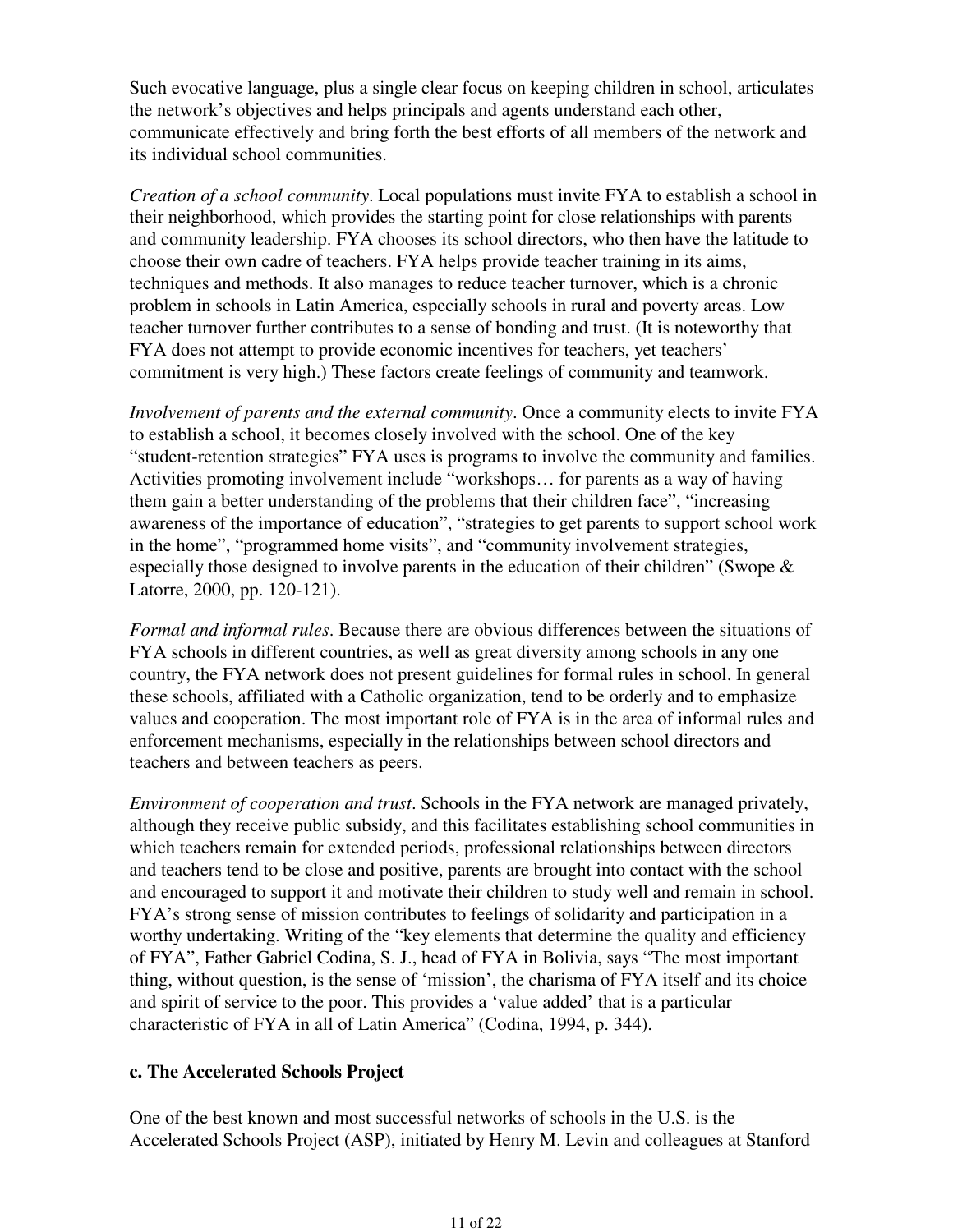Such evocative language, plus a single clear focus on keeping children in school, articulates the network's objectives and helps principals and agents understand each other, communicate effectively and bring forth the best efforts of all members of the network and its individual school communities.

*Creation of a school community*. Local populations must invite FYA to establish a school in their neighborhood, which provides the starting point for close relationships with parents and community leadership. FYA chooses its school directors, who then have the latitude to choose their own cadre of teachers. FYA helps provide teacher training in its aims, techniques and methods. It also manages to reduce teacher turnover, which is a chronic problem in schools in Latin America, especially schools in rural and poverty areas. Low teacher turnover further contributes to a sense of bonding and trust. (It is noteworthy that FYA does not attempt to provide economic incentives for teachers, yet teachers' commitment is very high.) These factors create feelings of community and teamwork.

*Involvement of parents and the external community*. Once a community elects to invite FYA to establish a school, it becomes closely involved with the school. One of the key "student-retention strategies" FYA uses is programs to involve the community and families. Activities promoting involvement include "workshops… for parents as a way of having them gain a better understanding of the problems that their children face", "increasing awareness of the importance of education", "strategies to get parents to support school work in the home", "programmed home visits", and "community involvement strategies, especially those designed to involve parents in the education of their children" (Swope  $\&$ Latorre, 2000, pp. 120-121).

*Formal and informal rules*. Because there are obvious differences between the situations of FYA schools in different countries, as well as great diversity among schools in any one country, the FYA network does not present guidelines for formal rules in school. In general these schools, affiliated with a Catholic organization, tend to be orderly and to emphasize values and cooperation. The most important role of FYA is in the area of informal rules and enforcement mechanisms, especially in the relationships between school directors and teachers and between teachers as peers.

*Environment of cooperation and trust*. Schools in the FYA network are managed privately, although they receive public subsidy, and this facilitates establishing school communities in which teachers remain for extended periods, professional relationships between directors and teachers tend to be close and positive, parents are brought into contact with the school and encouraged to support it and motivate their children to study well and remain in school. FYA's strong sense of mission contributes to feelings of solidarity and participation in a worthy undertaking. Writing of the "key elements that determine the quality and efficiency of FYA", Father Gabriel Codina, S. J., head of FYA in Bolivia, says "The most important thing, without question, is the sense of 'mission', the charisma of FYA itself and its choice and spirit of service to the poor. This provides a 'value added' that is a particular characteristic of FYA in all of Latin America" (Codina, 1994, p. 344).

### **c. The Accelerated Schools Project**

One of the best known and most successful networks of schools in the U.S. is the Accelerated Schools Project (ASP), initiated by Henry M. Levin and colleagues at Stanford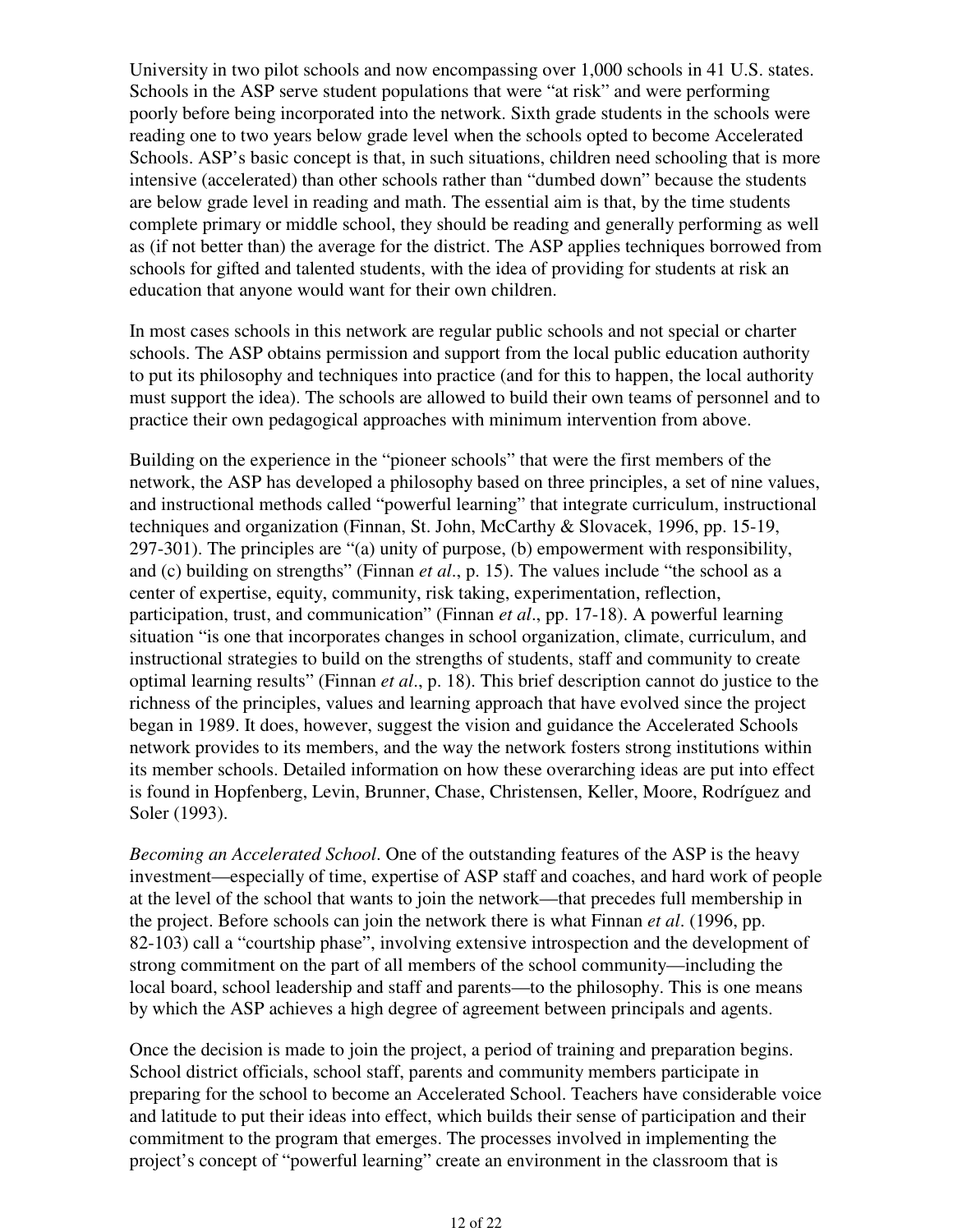University in two pilot schools and now encompassing over 1,000 schools in 41 U.S. states. Schools in the ASP serve student populations that were "at risk" and were performing poorly before being incorporated into the network. Sixth grade students in the schools were reading one to two years below grade level when the schools opted to become Accelerated Schools. ASP's basic concept is that, in such situations, children need schooling that is more intensive (accelerated) than other schools rather than "dumbed down" because the students are below grade level in reading and math. The essential aim is that, by the time students complete primary or middle school, they should be reading and generally performing as well as (if not better than) the average for the district. The ASP applies techniques borrowed from schools for gifted and talented students, with the idea of providing for students at risk an education that anyone would want for their own children.

In most cases schools in this network are regular public schools and not special or charter schools. The ASP obtains permission and support from the local public education authority to put its philosophy and techniques into practice (and for this to happen, the local authority must support the idea). The schools are allowed to build their own teams of personnel and to practice their own pedagogical approaches with minimum intervention from above.

Building on the experience in the "pioneer schools" that were the first members of the network, the ASP has developed a philosophy based on three principles, a set of nine values, and instructional methods called "powerful learning" that integrate curriculum, instructional techniques and organization (Finnan, St. John, McCarthy & Slovacek, 1996, pp. 15-19, 297-301). The principles are "(a) unity of purpose, (b) empowerment with responsibility, and (c) building on strengths" (Finnan *et al*., p. 15). The values include "the school as a center of expertise, equity, community, risk taking, experimentation, reflection, participation, trust, and communication" (Finnan *et al*., pp. 17-18). A powerful learning situation "is one that incorporates changes in school organization, climate, curriculum, and instructional strategies to build on the strengths of students, staff and community to create optimal learning results" (Finnan *et al*., p. 18). This brief description cannot do justice to the richness of the principles, values and learning approach that have evolved since the project began in 1989. It does, however, suggest the vision and guidance the Accelerated Schools network provides to its members, and the way the network fosters strong institutions within its member schools. Detailed information on how these overarching ideas are put into effect is found in Hopfenberg, Levin, Brunner, Chase, Christensen, Keller, Moore, Rodríguez and Soler (1993).

*Becoming an Accelerated School*. One of the outstanding features of the ASP is the heavy investment—especially of time, expertise of ASP staff and coaches, and hard work of people at the level of the school that wants to join the network—that precedes full membership in the project. Before schools can join the network there is what Finnan *et al*. (1996, pp. 82-103) call a "courtship phase", involving extensive introspection and the development of strong commitment on the part of all members of the school community—including the local board, school leadership and staff and parents—to the philosophy. This is one means by which the ASP achieves a high degree of agreement between principals and agents.

Once the decision is made to join the project, a period of training and preparation begins. School district officials, school staff, parents and community members participate in preparing for the school to become an Accelerated School. Teachers have considerable voice and latitude to put their ideas into effect, which builds their sense of participation and their commitment to the program that emerges. The processes involved in implementing the project's concept of "powerful learning" create an environment in the classroom that is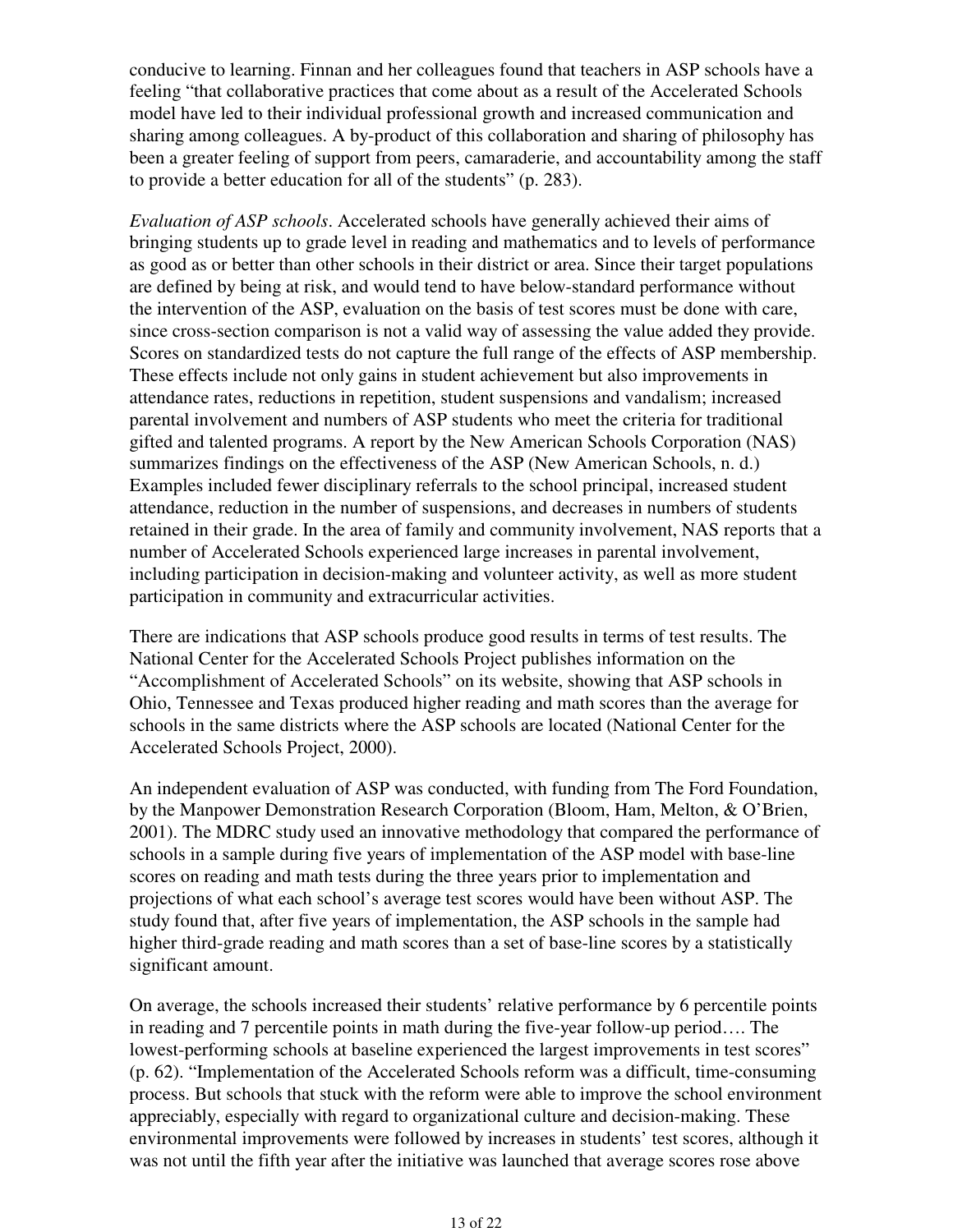conducive to learning. Finnan and her colleagues found that teachers in ASP schools have a feeling "that collaborative practices that come about as a result of the Accelerated Schools model have led to their individual professional growth and increased communication and sharing among colleagues. A by-product of this collaboration and sharing of philosophy has been a greater feeling of support from peers, camaraderie, and accountability among the staff to provide a better education for all of the students" (p. 283).

*Evaluation of ASP schools*. Accelerated schools have generally achieved their aims of bringing students up to grade level in reading and mathematics and to levels of performance as good as or better than other schools in their district or area. Since their target populations are defined by being at risk, and would tend to have below-standard performance without the intervention of the ASP, evaluation on the basis of test scores must be done with care, since cross-section comparison is not a valid way of assessing the value added they provide. Scores on standardized tests do not capture the full range of the effects of ASP membership. These effects include not only gains in student achievement but also improvements in attendance rates, reductions in repetition, student suspensions and vandalism; increased parental involvement and numbers of ASP students who meet the criteria for traditional gifted and talented programs. A report by the New American Schools Corporation (NAS) summarizes findings on the effectiveness of the ASP (New American Schools, n. d.) Examples included fewer disciplinary referrals to the school principal, increased student attendance, reduction in the number of suspensions, and decreases in numbers of students retained in their grade. In the area of family and community involvement, NAS reports that a number of Accelerated Schools experienced large increases in parental involvement, including participation in decision-making and volunteer activity, as well as more student participation in community and extracurricular activities.

There are indications that ASP schools produce good results in terms of test results. The National Center for the Accelerated Schools Project publishes information on the "Accomplishment of Accelerated Schools" on its website, showing that ASP schools in Ohio, Tennessee and Texas produced higher reading and math scores than the average for schools in the same districts where the ASP schools are located (National Center for the Accelerated Schools Project, 2000).

An independent evaluation of ASP was conducted, with funding from The Ford Foundation, by the Manpower Demonstration Research Corporation (Bloom, Ham, Melton, & O'Brien, 2001). The MDRC study used an innovative methodology that compared the performance of schools in a sample during five years of implementation of the ASP model with base-line scores on reading and math tests during the three years prior to implementation and projections of what each school's average test scores would have been without ASP. The study found that, after five years of implementation, the ASP schools in the sample had higher third-grade reading and math scores than a set of base-line scores by a statistically significant amount.

On average, the schools increased their students' relative performance by 6 percentile points in reading and 7 percentile points in math during the five-year follow-up period…. The lowest-performing schools at baseline experienced the largest improvements in test scores" (p. 62). "Implementation of the Accelerated Schools reform was a difficult, time-consuming process. But schools that stuck with the reform were able to improve the school environment appreciably, especially with regard to organizational culture and decision-making. These environmental improvements were followed by increases in students' test scores, although it was not until the fifth year after the initiative was launched that average scores rose above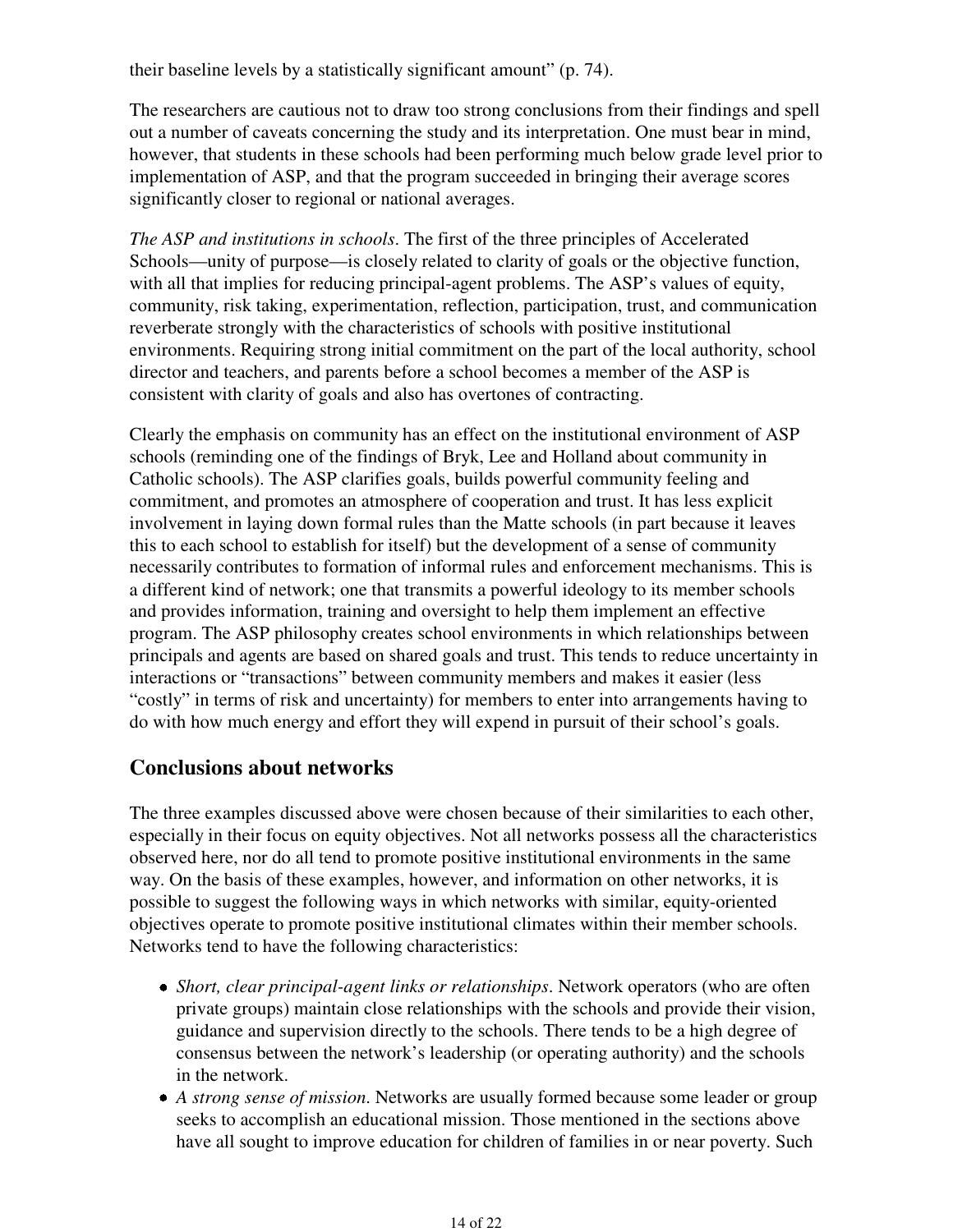their baseline levels by a statistically significant amount" (p. 74).

The researchers are cautious not to draw too strong conclusions from their findings and spell out a number of caveats concerning the study and its interpretation. One must bear in mind, however, that students in these schools had been performing much below grade level prior to implementation of ASP, and that the program succeeded in bringing their average scores significantly closer to regional or national averages.

*The ASP and institutions in schools*. The first of the three principles of Accelerated Schools—unity of purpose—is closely related to clarity of goals or the objective function, with all that implies for reducing principal-agent problems. The ASP's values of equity, community, risk taking, experimentation, reflection, participation, trust, and communication reverberate strongly with the characteristics of schools with positive institutional environments. Requiring strong initial commitment on the part of the local authority, school director and teachers, and parents before a school becomes a member of the ASP is consistent with clarity of goals and also has overtones of contracting.

Clearly the emphasis on community has an effect on the institutional environment of ASP schools (reminding one of the findings of Bryk, Lee and Holland about community in Catholic schools). The ASP clarifies goals, builds powerful community feeling and commitment, and promotes an atmosphere of cooperation and trust. It has less explicit involvement in laying down formal rules than the Matte schools (in part because it leaves this to each school to establish for itself) but the development of a sense of community necessarily contributes to formation of informal rules and enforcement mechanisms. This is a different kind of network; one that transmits a powerful ideology to its member schools and provides information, training and oversight to help them implement an effective program. The ASP philosophy creates school environments in which relationships between principals and agents are based on shared goals and trust. This tends to reduce uncertainty in interactions or "transactions" between community members and makes it easier (less "costly" in terms of risk and uncertainty) for members to enter into arrangements having to do with how much energy and effort they will expend in pursuit of their school's goals.

# **Conclusions about networks**

The three examples discussed above were chosen because of their similarities to each other, especially in their focus on equity objectives. Not all networks possess all the characteristics observed here, nor do all tend to promote positive institutional environments in the same way. On the basis of these examples, however, and information on other networks, it is possible to suggest the following ways in which networks with similar, equity-oriented objectives operate to promote positive institutional climates within their member schools. Networks tend to have the following characteristics:

- *Short, clear principal-agent links or relationships*. Network operators (who are often private groups) maintain close relationships with the schools and provide their vision, guidance and supervision directly to the schools. There tends to be a high degree of consensus between the network's leadership (or operating authority) and the schools in the network.
- *A strong sense of mission*. Networks are usually formed because some leader or group seeks to accomplish an educational mission. Those mentioned in the sections above have all sought to improve education for children of families in or near poverty. Such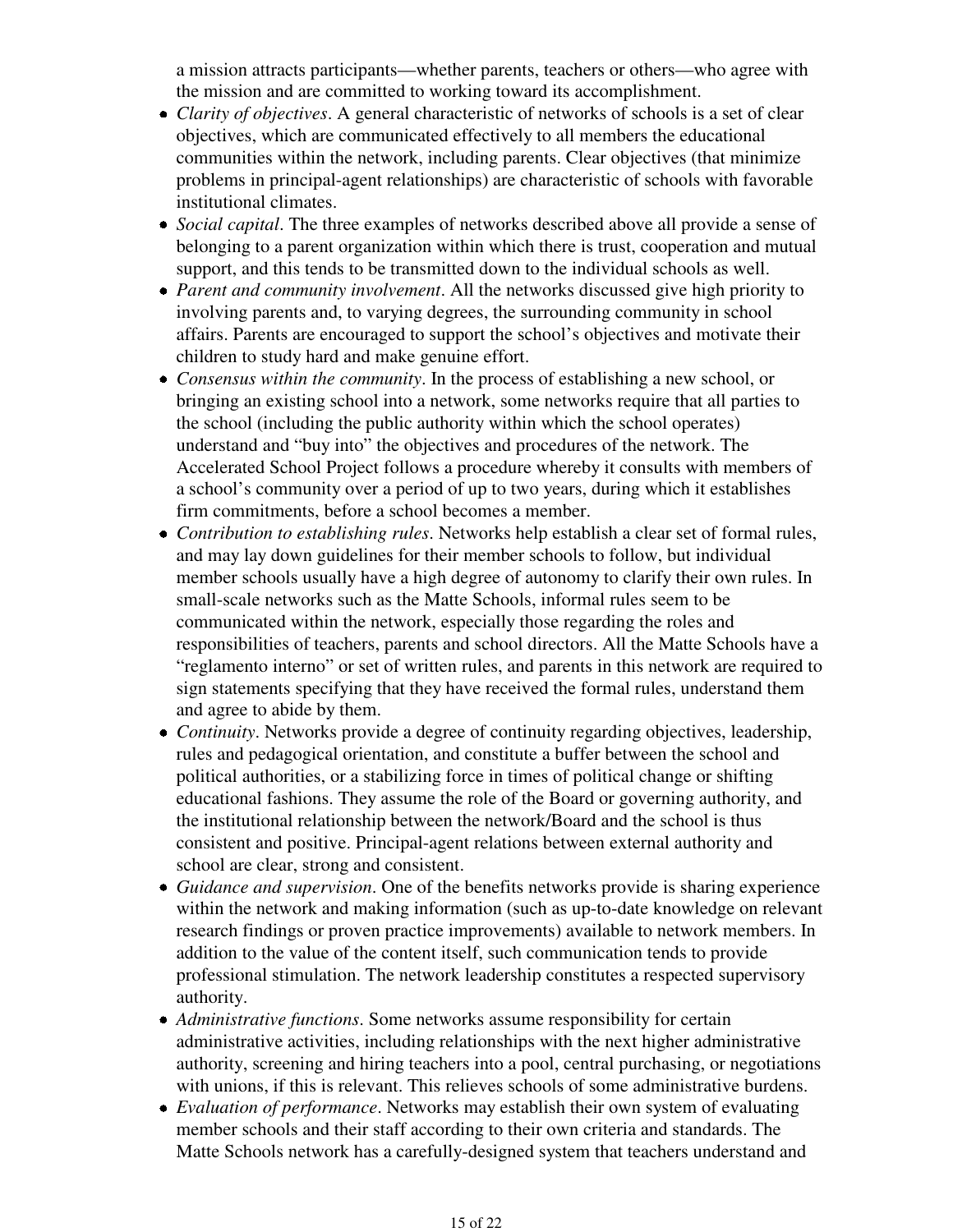a mission attracts participants—whether parents, teachers or others—who agree with the mission and are committed to working toward its accomplishment.

- *Clarity of objectives*. A general characteristic of networks of schools is a set of clear objectives, which are communicated effectively to all members the educational communities within the network, including parents. Clear objectives (that minimize problems in principal-agent relationships) are characteristic of schools with favorable institutional climates.
- *Social capital*. The three examples of networks described above all provide a sense of belonging to a parent organization within which there is trust, cooperation and mutual support, and this tends to be transmitted down to the individual schools as well.
- *Parent and community involvement*. All the networks discussed give high priority to involving parents and, to varying degrees, the surrounding community in school affairs. Parents are encouraged to support the school's objectives and motivate their children to study hard and make genuine effort.
- *Consensus within the community*. In the process of establishing a new school, or bringing an existing school into a network, some networks require that all parties to the school (including the public authority within which the school operates) understand and "buy into" the objectives and procedures of the network. The Accelerated School Project follows a procedure whereby it consults with members of a school's community over a period of up to two years, during which it establishes firm commitments, before a school becomes a member.
- *Contribution to establishing rules*. Networks help establish a clear set of formal rules, and may lay down guidelines for their member schools to follow, but individual member schools usually have a high degree of autonomy to clarify their own rules. In small-scale networks such as the Matte Schools, informal rules seem to be communicated within the network, especially those regarding the roles and responsibilities of teachers, parents and school directors. All the Matte Schools have a "reglamento interno" or set of written rules, and parents in this network are required to sign statements specifying that they have received the formal rules, understand them and agree to abide by them.
- *Continuity*. Networks provide a degree of continuity regarding objectives, leadership, rules and pedagogical orientation, and constitute a buffer between the school and political authorities, or a stabilizing force in times of political change or shifting educational fashions. They assume the role of the Board or governing authority, and the institutional relationship between the network/Board and the school is thus consistent and positive. Principal-agent relations between external authority and school are clear, strong and consistent.
- *Guidance and supervision*. One of the benefits networks provide is sharing experience within the network and making information (such as up-to-date knowledge on relevant research findings or proven practice improvements) available to network members. In addition to the value of the content itself, such communication tends to provide professional stimulation. The network leadership constitutes a respected supervisory authority.
- *Administrative functions*. Some networks assume responsibility for certain administrative activities, including relationships with the next higher administrative authority, screening and hiring teachers into a pool, central purchasing, or negotiations with unions, if this is relevant. This relieves schools of some administrative burdens.
- *Evaluation of performance*. Networks may establish their own system of evaluating member schools and their staff according to their own criteria and standards. The Matte Schools network has a carefully-designed system that teachers understand and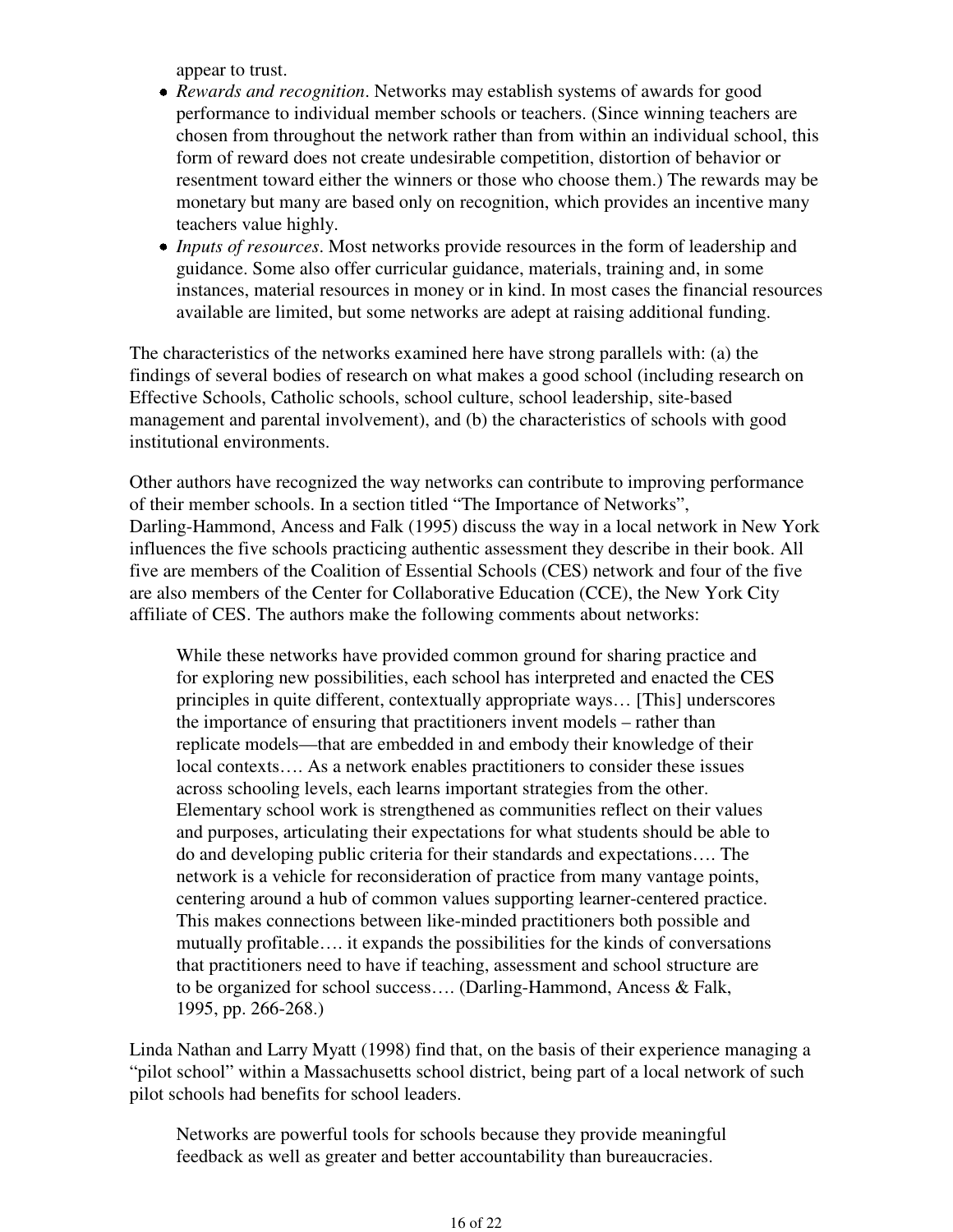appear to trust.

- *Rewards and recognition*. Networks may establish systems of awards for good performance to individual member schools or teachers. (Since winning teachers are chosen from throughout the network rather than from within an individual school, this form of reward does not create undesirable competition, distortion of behavior or resentment toward either the winners or those who choose them.) The rewards may be monetary but many are based only on recognition, which provides an incentive many teachers value highly.
- *Inputs of resources*. Most networks provide resources in the form of leadership and guidance. Some also offer curricular guidance, materials, training and, in some instances, material resources in money or in kind. In most cases the financial resources available are limited, but some networks are adept at raising additional funding.

The characteristics of the networks examined here have strong parallels with: (a) the findings of several bodies of research on what makes a good school (including research on Effective Schools, Catholic schools, school culture, school leadership, site-based management and parental involvement), and (b) the characteristics of schools with good institutional environments.

Other authors have recognized the way networks can contribute to improving performance of their member schools. In a section titled "The Importance of Networks", Darling-Hammond, Ancess and Falk (1995) discuss the way in a local network in New York influences the five schools practicing authentic assessment they describe in their book. All five are members of the Coalition of Essential Schools (CES) network and four of the five are also members of the Center for Collaborative Education (CCE), the New York City affiliate of CES. The authors make the following comments about networks:

While these networks have provided common ground for sharing practice and for exploring new possibilities, each school has interpreted and enacted the CES principles in quite different, contextually appropriate ways… [This] underscores the importance of ensuring that practitioners invent models – rather than replicate models—that are embedded in and embody their knowledge of their local contexts…. As a network enables practitioners to consider these issues across schooling levels, each learns important strategies from the other. Elementary school work is strengthened as communities reflect on their values and purposes, articulating their expectations for what students should be able to do and developing public criteria for their standards and expectations…. The network is a vehicle for reconsideration of practice from many vantage points, centering around a hub of common values supporting learner-centered practice. This makes connections between like-minded practitioners both possible and mutually profitable…. it expands the possibilities for the kinds of conversations that practitioners need to have if teaching, assessment and school structure are to be organized for school success…. (Darling-Hammond, Ancess & Falk, 1995, pp. 266-268.)

Linda Nathan and Larry Myatt (1998) find that, on the basis of their experience managing a "pilot school" within a Massachusetts school district, being part of a local network of such pilot schools had benefits for school leaders.

Networks are powerful tools for schools because they provide meaningful feedback as well as greater and better accountability than bureaucracies.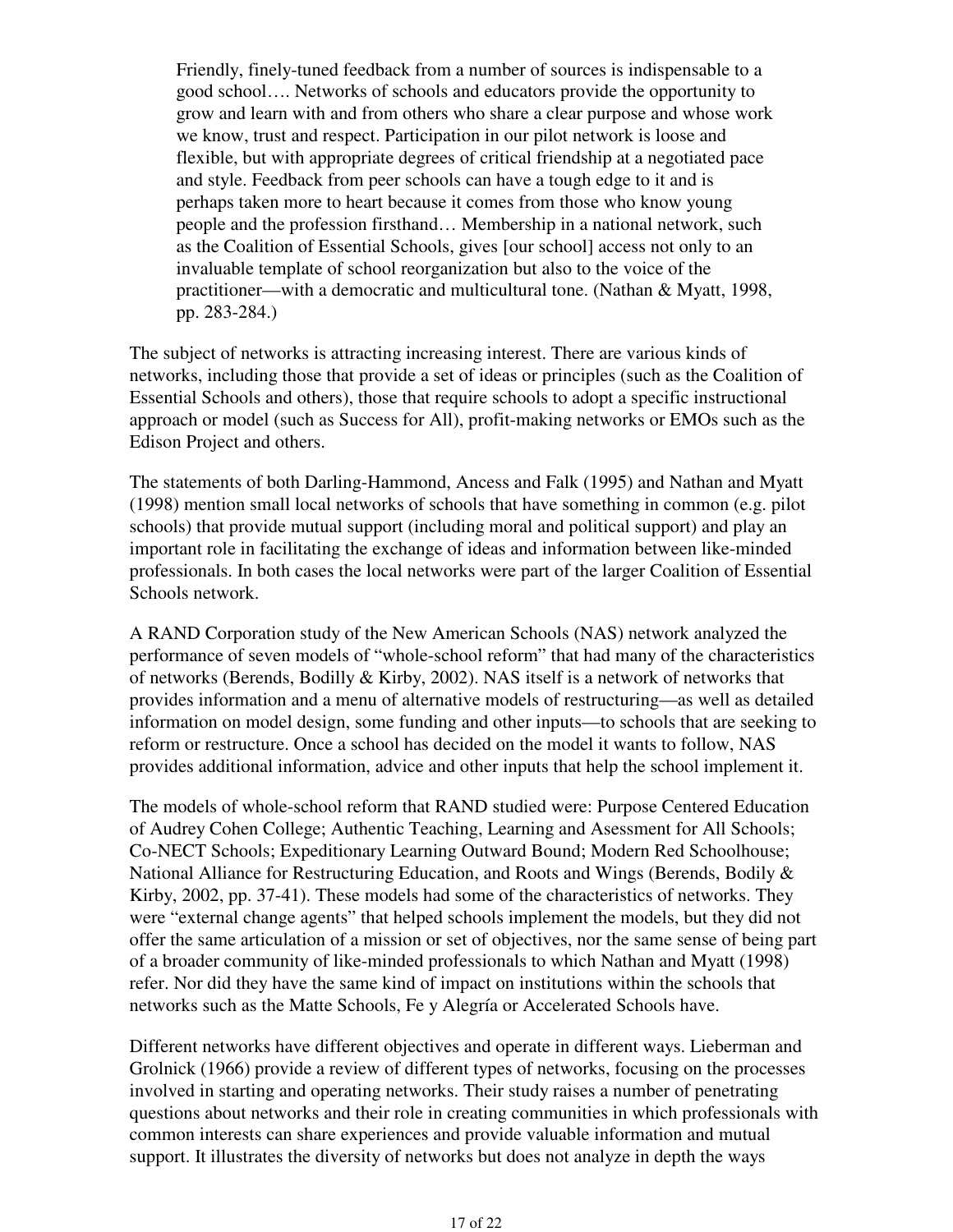Friendly, finely-tuned feedback from a number of sources is indispensable to a good school…. Networks of schools and educators provide the opportunity to grow and learn with and from others who share a clear purpose and whose work we know, trust and respect. Participation in our pilot network is loose and flexible, but with appropriate degrees of critical friendship at a negotiated pace and style. Feedback from peer schools can have a tough edge to it and is perhaps taken more to heart because it comes from those who know young people and the profession firsthand… Membership in a national network, such as the Coalition of Essential Schools, gives [our school] access not only to an invaluable template of school reorganization but also to the voice of the practitioner—with a democratic and multicultural tone. (Nathan & Myatt, 1998, pp. 283-284.)

The subject of networks is attracting increasing interest. There are various kinds of networks, including those that provide a set of ideas or principles (such as the Coalition of Essential Schools and others), those that require schools to adopt a specific instructional approach or model (such as Success for All), profit-making networks or EMOs such as the Edison Project and others.

The statements of both Darling-Hammond, Ancess and Falk (1995) and Nathan and Myatt (1998) mention small local networks of schools that have something in common (e.g. pilot schools) that provide mutual support (including moral and political support) and play an important role in facilitating the exchange of ideas and information between like-minded professionals. In both cases the local networks were part of the larger Coalition of Essential Schools network.

A RAND Corporation study of the New American Schools (NAS) network analyzed the performance of seven models of "whole-school reform" that had many of the characteristics of networks (Berends, Bodilly & Kirby, 2002). NAS itself is a network of networks that provides information and a menu of alternative models of restructuring—as well as detailed information on model design, some funding and other inputs—to schools that are seeking to reform or restructure. Once a school has decided on the model it wants to follow, NAS provides additional information, advice and other inputs that help the school implement it.

The models of whole-school reform that RAND studied were: Purpose Centered Education of Audrey Cohen College; Authentic Teaching, Learning and Asessment for All Schools; Co-NECT Schools; Expeditionary Learning Outward Bound; Modern Red Schoolhouse; National Alliance for Restructuring Education, and Roots and Wings (Berends, Bodily & Kirby, 2002, pp. 37-41). These models had some of the characteristics of networks. They were "external change agents" that helped schools implement the models, but they did not offer the same articulation of a mission or set of objectives, nor the same sense of being part of a broader community of like-minded professionals to which Nathan and Myatt (1998) refer. Nor did they have the same kind of impact on institutions within the schools that networks such as the Matte Schools, Fe y Alegría or Accelerated Schools have.

Different networks have different objectives and operate in different ways. Lieberman and Grolnick (1966) provide a review of different types of networks, focusing on the processes involved in starting and operating networks. Their study raises a number of penetrating questions about networks and their role in creating communities in which professionals with common interests can share experiences and provide valuable information and mutual support. It illustrates the diversity of networks but does not analyze in depth the ways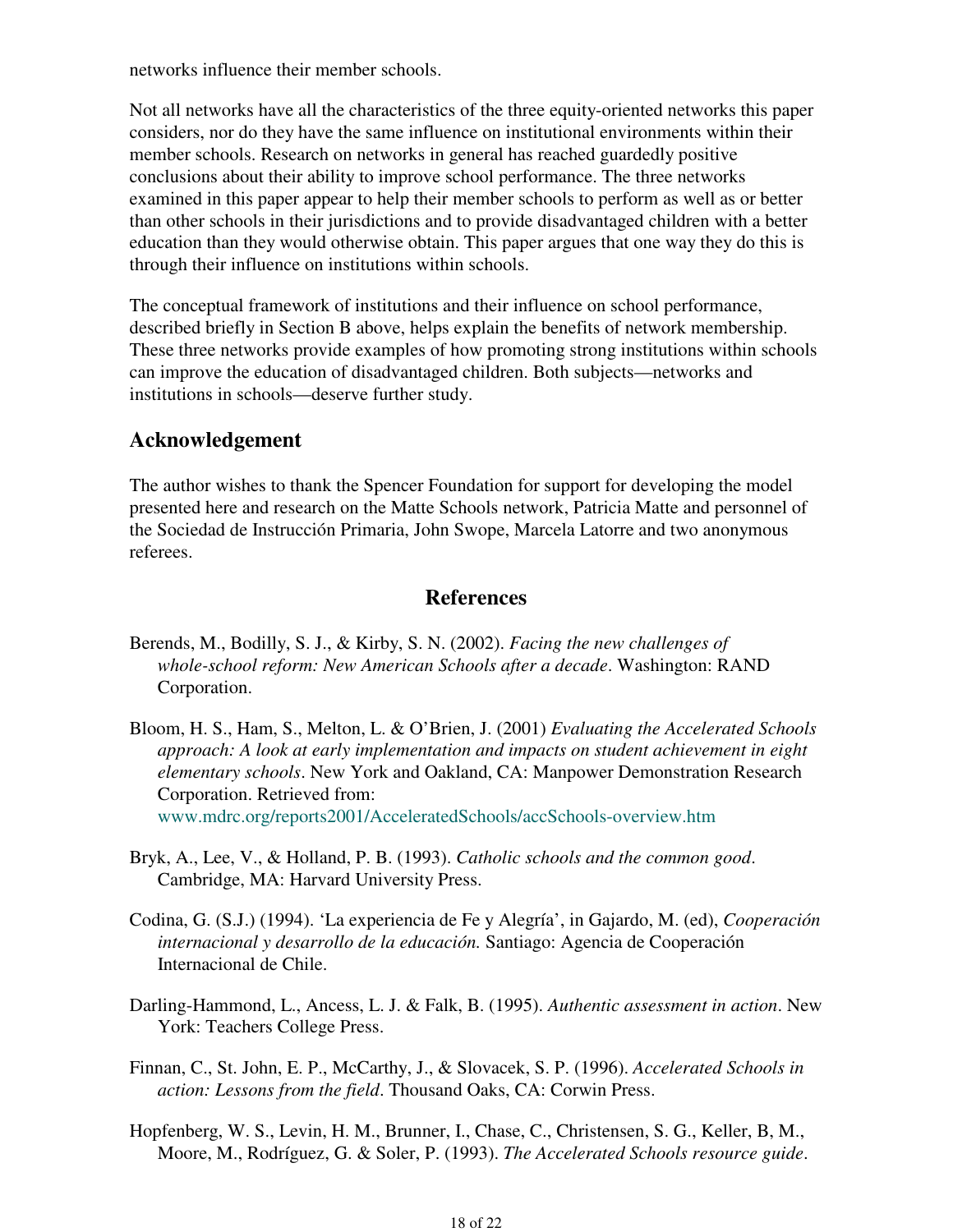networks influence their member schools.

Not all networks have all the characteristics of the three equity-oriented networks this paper considers, nor do they have the same influence on institutional environments within their member schools. Research on networks in general has reached guardedly positive conclusions about their ability to improve school performance. The three networks examined in this paper appear to help their member schools to perform as well as or better than other schools in their jurisdictions and to provide disadvantaged children with a better education than they would otherwise obtain. This paper argues that one way they do this is through their influence on institutions within schools.

The conceptual framework of institutions and their influence on school performance, described briefly in Section B above, helps explain the benefits of network membership. These three networks provide examples of how promoting strong institutions within schools can improve the education of disadvantaged children. Both subjects—networks and institutions in schools—deserve further study.

## **Acknowledgement**

The author wishes to thank the Spencer Foundation for support for developing the model presented here and research on the Matte Schools network, Patricia Matte and personnel of the Sociedad de Instrucción Primaria, John Swope, Marcela Latorre and two anonymous referees.

## **References**

- Berends, M., Bodilly, S. J., & Kirby, S. N. (2002). *Facing the new challenges of whole-school reform: New American Schools after a decade*. Washington: RAND Corporation.
- Bloom, H. S., Ham, S., Melton, L. & O'Brien, J. (2001) *Evaluating the Accelerated Schools approach: A look at early implementation and impacts on student achievement in eight elementary schools*. New York and Oakland, CA: Manpower Demonstration Research Corporation. Retrieved from: www.mdrc.org/reports2001/AcceleratedSchools/accSchools-overview.htm
- Bryk, A., Lee, V., & Holland, P. B. (1993). *Catholic schools and the common good*. Cambridge, MA: Harvard University Press.
- Codina, G. (S.J.) (1994). 'La experiencia de Fe y Alegría', in Gajardo, M. (ed), *Cooperación internacional y desarrollo de la educación.* Santiago: Agencia de Cooperación Internacional de Chile.
- Darling-Hammond, L., Ancess, L. J. & Falk, B. (1995). *Authentic assessment in action*. New York: Teachers College Press.
- Finnan, C., St. John, E. P., McCarthy, J., & Slovacek, S. P. (1996). *Accelerated Schools in action: Lessons from the field*. Thousand Oaks, CA: Corwin Press.
- Hopfenberg, W. S., Levin, H. M., Brunner, I., Chase, C., Christensen, S. G., Keller, B, M., Moore, M., Rodríguez, G. & Soler, P. (1993). *The Accelerated Schools resource guide*.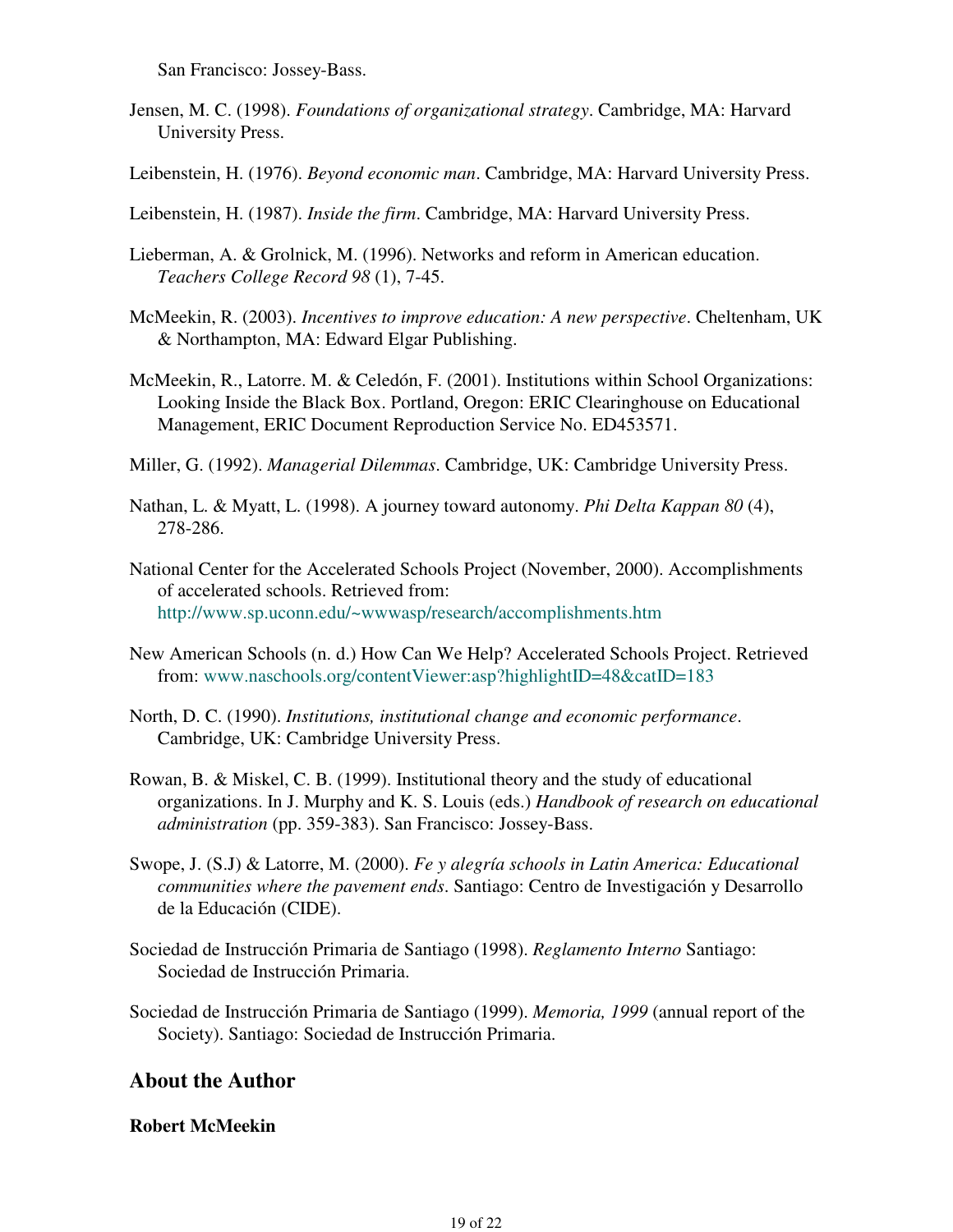San Francisco: Jossey-Bass.

- Jensen, M. C. (1998). *Foundations of organizational strategy*. Cambridge, MA: Harvard University Press.
- Leibenstein, H. (1976). *Beyond economic man*. Cambridge, MA: Harvard University Press.
- Leibenstein, H. (1987). *Inside the firm*. Cambridge, MA: Harvard University Press.
- Lieberman, A. & Grolnick, M. (1996). Networks and reform in American education. *Teachers College Record 98* (1), 7-45.
- McMeekin, R. (2003). *Incentives to improve education: A new perspective*. Cheltenham, UK & Northampton, MA: Edward Elgar Publishing.
- McMeekin, R., Latorre. M. & Celedón, F. (2001). Institutions within School Organizations: Looking Inside the Black Box. Portland, Oregon: ERIC Clearinghouse on Educational Management, ERIC Document Reproduction Service No. ED453571.
- Miller, G. (1992). *Managerial Dilemmas*. Cambridge, UK: Cambridge University Press.
- Nathan, L. & Myatt, L. (1998). A journey toward autonomy. *Phi Delta Kappan 80* (4), 278-286.
- National Center for the Accelerated Schools Project (November, 2000). Accomplishments of accelerated schools. Retrieved from: http://www.sp.uconn.edu/~wwwasp/research/accomplishments.htm
- New American Schools (n. d.) How Can We Help? Accelerated Schools Project. Retrieved from: www.naschools.org/contentViewer:asp?highlightID=48&catID=183
- North, D. C. (1990). *Institutions, institutional change and economic performance*. Cambridge, UK: Cambridge University Press.
- Rowan, B. & Miskel, C. B. (1999). Institutional theory and the study of educational organizations. In J. Murphy and K. S. Louis (eds.) *Handbook of research on educational administration* (pp. 359-383). San Francisco: Jossey-Bass.
- Swope, J. (S.J) & Latorre, M. (2000). *Fe y alegría schools in Latin America: Educational communities where the pavement ends*. Santiago: Centro de Investigación y Desarrollo de la Educación (CIDE).
- Sociedad de Instrucción Primaria de Santiago (1998). *Reglamento Interno* Santiago: Sociedad de Instrucción Primaria.
- Sociedad de Instrucción Primaria de Santiago (1999). *Memoria, 1999* (annual report of the Society). Santiago: Sociedad de Instrucción Primaria.

### **About the Author**

### **Robert McMeekin**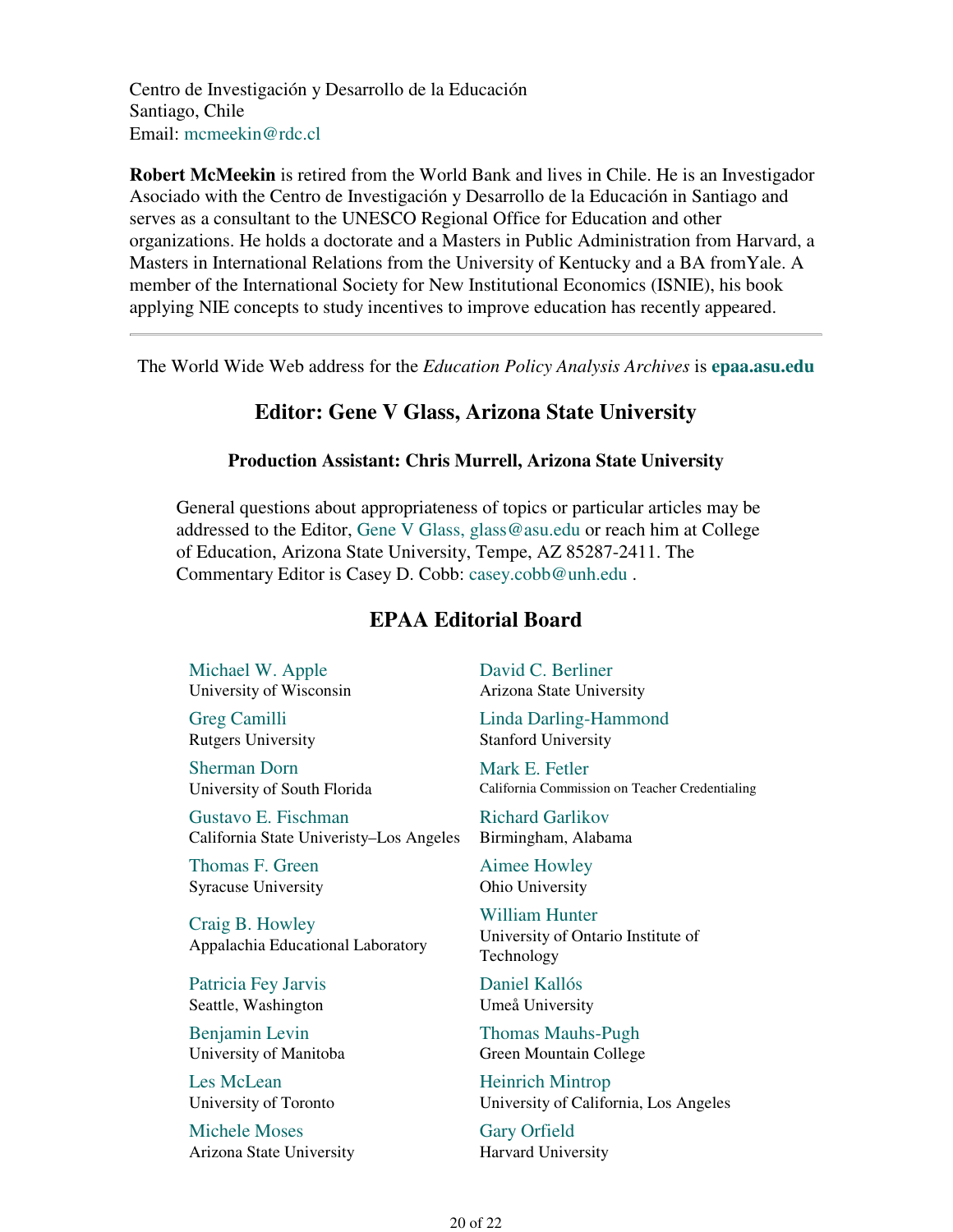Centro de Investigación y Desarrollo de la Educación Santiago, Chile Email: mcmeekin@rdc.cl

**Robert McMeekin** is retired from the World Bank and lives in Chile. He is an Investigador Asociado with the Centro de Investigación y Desarrollo de la Educación in Santiago and serves as a consultant to the UNESCO Regional Office for Education and other organizations. He holds a doctorate and a Masters in Public Administration from Harvard, a Masters in International Relations from the University of Kentucky and a BA fromYale. A member of the International Society for New Institutional Economics (ISNIE), his book applying NIE concepts to study incentives to improve education has recently appeared.

The World Wide Web address for the *Education Policy Analysis Archives* is **epaa.asu.edu**

### **Editor: Gene V Glass, Arizona State University**

#### **Production Assistant: Chris Murrell, Arizona State University**

General questions about appropriateness of topics or particular articles may be addressed to the Editor, Gene V Glass, glass@asu.edu or reach him at College of Education, Arizona State University, Tempe, AZ 85287-2411. The Commentary Editor is Casey D. Cobb: casey.cobb@unh.edu .

### **EPAA Editorial Board**

Michael W. Apple University of Wisconsin

Greg Camilli Rutgers University

Sherman Dorn University of South Florida

Gustavo E. Fischman California State Univeristy–Los Angeles

Thomas F. Green Syracuse University

Craig B. Howley Appalachia Educational Laboratory

Patricia Fey Jarvis Seattle, Washington

Benjamin Levin University of Manitoba

Les McLean University of Toronto

Michele Moses Arizona State University David C. Berliner Arizona State University

Linda Darling-Hammond Stanford University

Mark E. Fetler California Commission on Teacher Credentialing

Richard Garlikov Birmingham, Alabama

Aimee Howley Ohio University

William Hunter University of Ontario Institute of Technology

Daniel Kallós Umeå University

Thomas Mauhs-Pugh Green Mountain College

Heinrich Mintrop University of California, Los Angeles

Gary Orfield Harvard University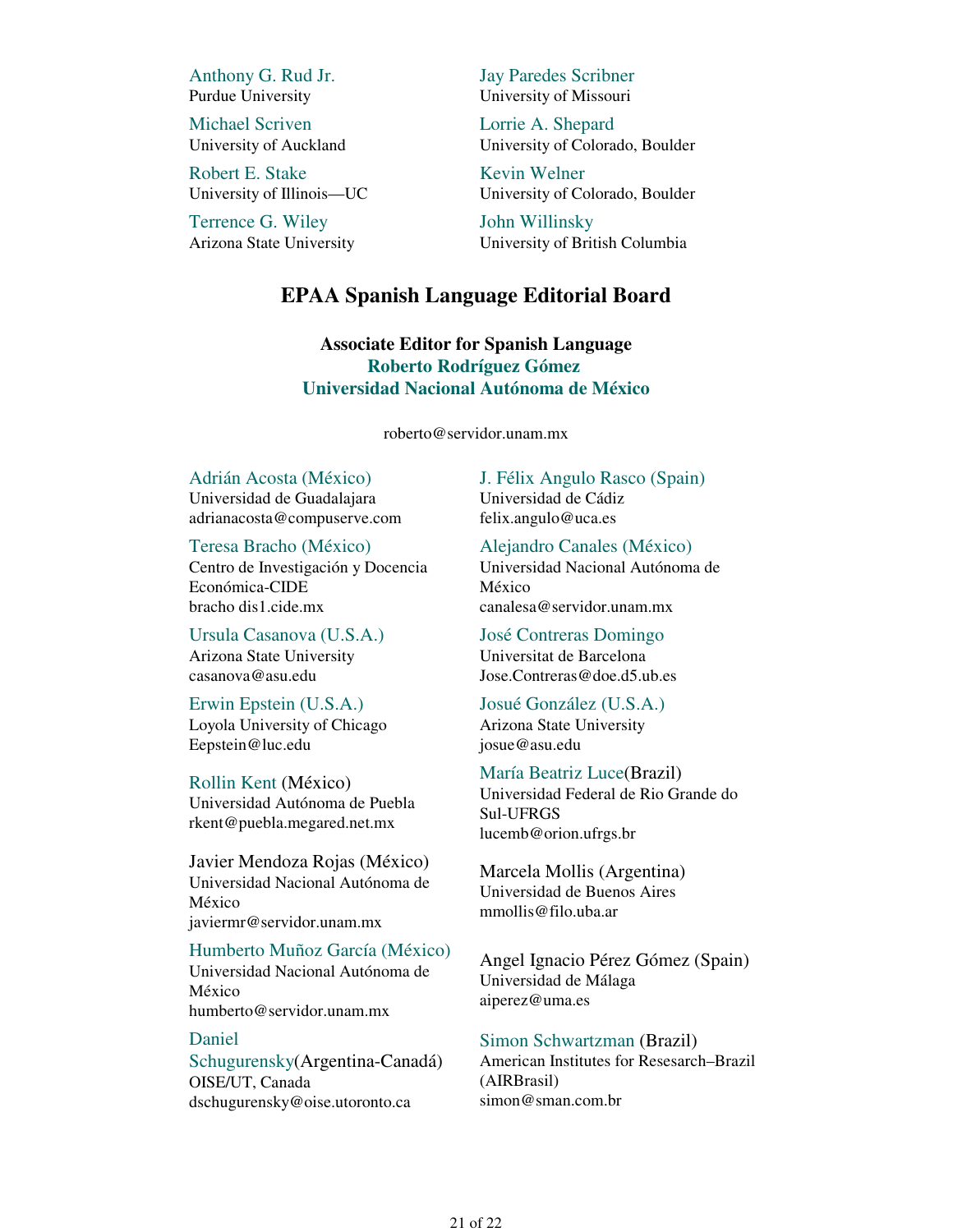Anthony G. Rud Jr. Purdue University

Michael Scriven University of Auckland

Robert E. Stake University of Illinois—UC

Terrence G. Wiley Arizona State University Jay Paredes Scribner University of Missouri

Lorrie A. Shepard University of Colorado, Boulder

Kevin Welner University of Colorado, Boulder

John Willinsky University of British Columbia

#### **EPAA Spanish Language Editorial Board**

**Associate Editor for Spanish Language Roberto Rodríguez Gómez Universidad Nacional Autónoma de México**

roberto@servidor.unam.mx

#### Adrián Acosta (México)

Universidad de Guadalajara adrianacosta@compuserve.com

Teresa Bracho (México)

Centro de Investigación y Docencia Económica-CIDE bracho dis1.cide.mx

Ursula Casanova (U.S.A.) Arizona State University casanova@asu.edu

Erwin Epstein (U.S.A.) Loyola University of Chicago Eepstein@luc.edu

Rollin Kent (México) Universidad Autónoma de Puebla rkent@puebla.megared.net.mx

Javier Mendoza Rojas (México) Universidad Nacional Autónoma de México javiermr@servidor.unam.mx

#### Humberto Muñoz García (México)

Universidad Nacional Autónoma de México humberto@servidor.unam.mx

#### Daniel

Schugurensky(Argentina-Canadá) OISE/UT, Canada dschugurensky@oise.utoronto.ca

J. Félix Angulo Rasco (Spain) Universidad de Cádiz felix.angulo@uca.es

Alejandro Canales (México) Universidad Nacional Autónoma de México

canalesa@servidor.unam.mx

José Contreras Domingo Universitat de Barcelona Jose.Contreras@doe.d5.ub.es

Josué González (U.S.A.) Arizona State University josue@asu.edu

lucemb@orion.ufrgs.br

#### María Beatriz Luce(Brazil) Universidad Federal de Rio Grande do Sul-UFRGS

Marcela Mollis (Argentina) Universidad de Buenos Aires mmollis@filo.uba.ar

Angel Ignacio Pérez Gómez (Spain) Universidad de Málaga aiperez@uma.es

Simon Schwartzman (Brazil) American Institutes for Resesarch–Brazil (AIRBrasil) simon@sman.com.br